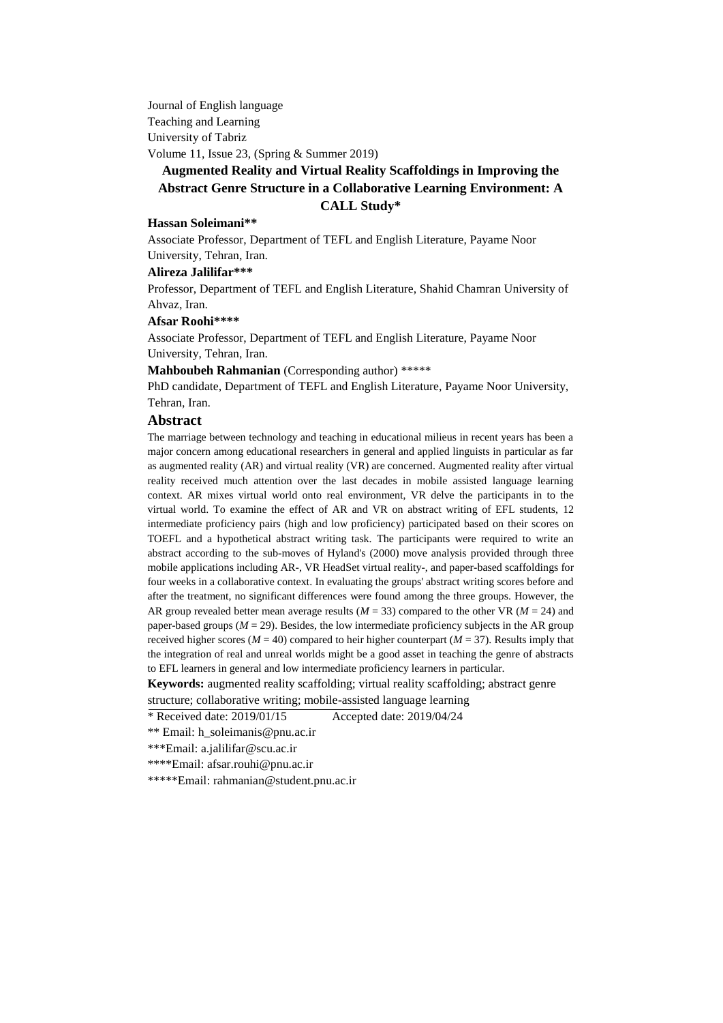Journal of English language Teaching and Learning University of Tabriz Volume 11, Issue 23, (Spring & Summer 2019)

# **Augmented Reality and Virtual Reality Scaffoldings in Improving the Abstract Genre Structure in a Collaborative Learning Environment: A CALL Study\***

#### **Hassan Soleimani\*\***

Associate Professor, Department of TEFL and English Literature, Payame Noor University, Tehran, Iran.

#### **Alireza Jalilifar\*\*\***

Professor, Department of TEFL and English Literature, Shahid Chamran University of Ahvaz, Iran.

#### **Afsar Roohi\*\*\*\***

Associate Professor, Department of TEFL and English Literature, Payame Noor University, Tehran, Iran.

**Mahboubeh Rahmanian** (Corresponding author) \*\*\*\*\*

PhD candidate, Department of TEFL and English Literature, Payame Noor University, Tehran, Iran.

#### **Abstract**

The marriage between technology and teaching in educational milieus in recent years has been a major concern among educational researchers in general and applied linguists in particular as far as augmented reality (AR) and virtual reality (VR) are concerned. Augmented reality after virtual reality received much attention over the last decades in mobile assisted language learning context. AR mixes virtual world onto real environment, VR delve the participants in to the virtual world. To examine the effect of AR and VR on abstract writing of EFL students, 12 intermediate proficiency pairs (high and low proficiency) participated based on their scores on TOEFL and a hypothetical abstract writing task. The participants were required to write an abstract according to the sub-moves of Hyland's (2000) move analysis provided through three mobile applications including AR-, VR HeadSet virtual reality-, and paper-based scaffoldings for four weeks in a collaborative context. In evaluating the groups' abstract writing scores before and after the treatment, no significant differences were found among the three groups. However, the AR group revealed better mean average results ( $M = 33$ ) compared to the other VR ( $M = 24$ ) and paper-based groups  $(M = 29)$ . Besides, the low intermediate proficiency subjects in the AR group received higher scores ( $M = 40$ ) compared to heir higher counterpart ( $M = 37$ ). Results imply that the integration of real and unreal worlds might be a good asset in teaching the genre of abstracts to EFL learners in general and low intermediate proficiency learners in particular.

**Keywords:** augmented reality scaffolding; virtual reality scaffolding; abstract genre

structure; collaborative writing; mobile-assisted language learning

 $*$  Received date: 2019/01/15 Accepted date: 2019/04/24

\*\* Email: [h\\_soleimanis@pnu.ac.ir](mailto:h_soleimanis@pnu.ac.ir)

\*\*\*Email: a.jalilifar@scu.ac.ir

\*\*\*\*Email: [afsar.rouhi@pnu.ac.ir](mailto:afsar.rouhi@pnu.ac.ir)

\*\*\*\*\*Email[: rahmanian@student.pnu.ac.ir](mailto:rahmanian@student.pnu.ac.ir)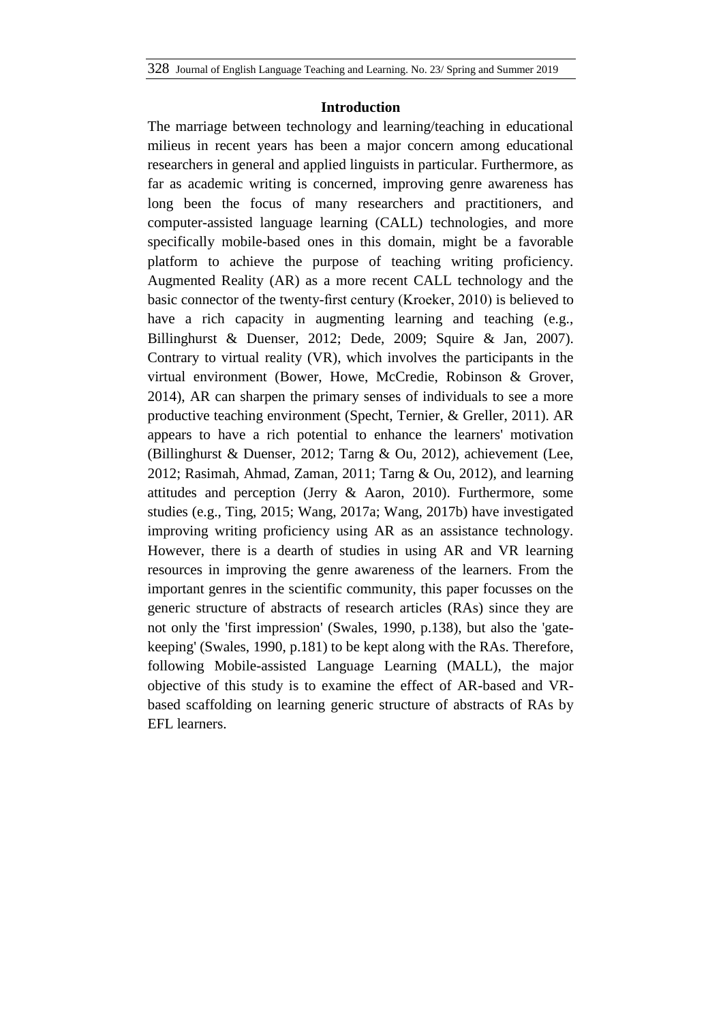#### **Introduction**

The marriage between technology and learning/teaching in educational milieus in recent years has been a major concern among educational researchers in general and applied linguists in particular. Furthermore, as far as academic writing is concerned, improving genre awareness has long been the focus of many researchers and practitioners, and computer-assisted language learning (CALL) technologies, and more specifically mobile-based ones in this domain, might be a favorable platform to achieve the purpose of teaching writing proficiency. Augmented Reality (AR) as a more recent CALL technology and the basic connector of the twenty-first century (Kroeker, 2010) is believed to have a rich capacity in augmenting learning and teaching (e.g., Billinghurst & Duenser, 2012; Dede, 2009; Squire & Jan, 2007). Contrary to virtual reality (VR), which involves the participants in the virtual environment (Bower, Howe, McCredie, Robinson & Grover, 2014), AR can sharpen the primary senses of individuals to see a more productive teaching environment (Specht, Ternier, & Greller, 2011). AR appears to have a rich potential to enhance the learners' motivation (Billinghurst & Duenser, 2012; Tarng & Ou, 2012), achievement (Lee, 2012; Rasimah, Ahmad, Zaman, 2011; Tarng & Ou, 2012), and learning attitudes and perception (Jerry & Aaron, 2010). Furthermore, some studies (e.g., Ting, 2015; Wang, 2017a; Wang, 2017b) have investigated improving writing proficiency using AR as an assistance technology. However, there is a dearth of studies in using AR and VR learning resources in improving the genre awareness of the learners. From the important genres in the scientific community, this paper focusses on the generic structure of abstracts of research articles (RAs) since they are not only the 'first impression' (Swales, 1990, p.138), but also the 'gatekeeping' (Swales, 1990, p.181) to be kept along with the RAs. Therefore, following Mobile-assisted Language Learning (MALL), the major objective of this study is to examine the effect of AR-based and VRbased scaffolding on learning generic structure of abstracts of RAs by EFL learners.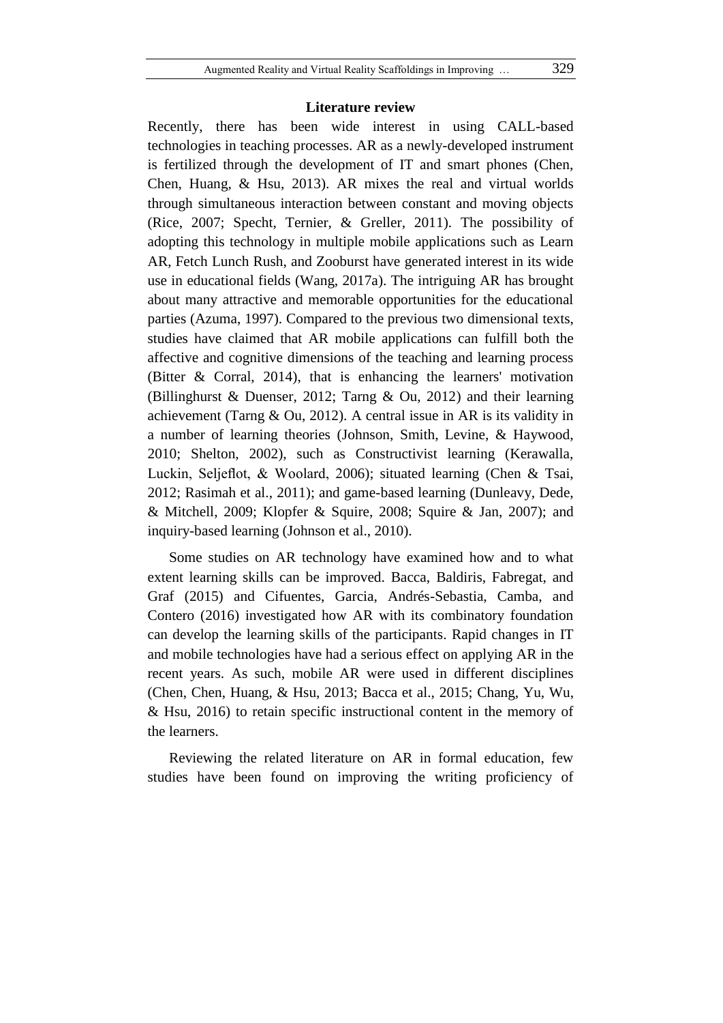#### **Literature review**

Recently, there has been wide interest in using CALL-based technologies in teaching processes. AR as a newly-developed instrument is fertilized through the development of IT and smart phones (Chen, Chen, Huang, & Hsu, 2013). AR mixes the real and virtual worlds through simultaneous interaction between constant and moving objects (Rice, 2007; Specht, Ternier, & Greller, 2011). The possibility of adopting this technology in multiple mobile applications such as Learn AR, Fetch Lunch Rush, and Zooburst have generated interest in its wide use in educational fields (Wang, 2017a). The intriguing AR has brought about many attractive and memorable opportunities for the educational parties (Azuma, 1997). Compared to the previous two dimensional texts, studies have claimed that AR mobile applications can fulfill both the affective and cognitive dimensions of the teaching and learning process (Bitter & Corral, 2014), that is enhancing the learners' motivation (Billinghurst & Duenser, 2012; Tarng & Ou, 2012) and their learning achievement (Tarng & Ou, 2012). A central issue in AR is its validity in a number of learning theories (Johnson, Smith, Levine, & Haywood, 2010; Shelton, 2002), such as Constructivist learning (Kerawalla, Luckin, Seljeflot, & Woolard, 2006); situated learning (Chen & Tsai, 2012; Rasimah et al., 2011); and game-based learning (Dunleavy, Dede, & Mitchell, 2009; Klopfer & Squire, 2008; Squire & Jan, 2007); and inquiry-based learning (Johnson et al., 2010).

Some studies on AR technology have examined how and to what extent learning skills can be improved. Bacca, Baldiris, Fabregat, and Graf (2015) and Cifuentes, Garcia, Andrés-Sebastia, Camba, and Contero (2016) investigated how AR with its combinatory foundation can develop the learning skills of the participants. Rapid changes in IT and mobile technologies have had a serious effect on applying AR in the recent years. As such, mobile AR were used in different disciplines (Chen, Chen, Huang, & Hsu, 2013; Bacca et al., 2015; Chang, Yu, Wu, & Hsu, 2016) to retain specific instructional content in the memory of the learners.

Reviewing the related literature on AR in formal education, few studies have been found on improving the writing proficiency of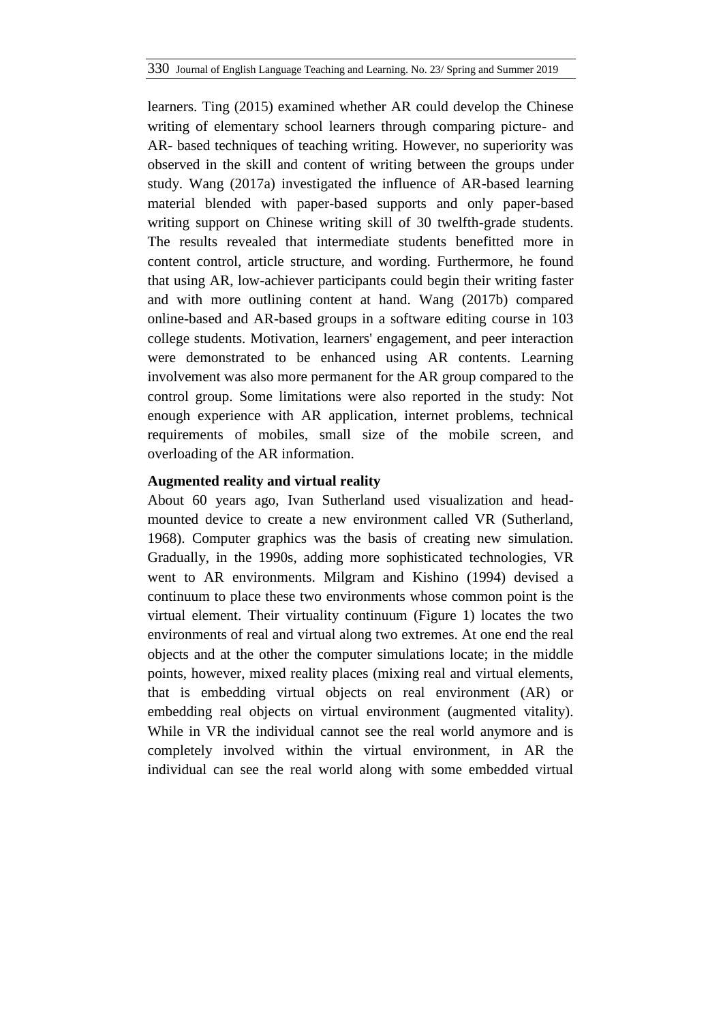learners. Ting (2015) examined whether AR could develop the Chinese writing of elementary school learners through comparing picture- and AR- based techniques of teaching writing. However, no superiority was observed in the skill and content of writing between the groups under study. Wang (2017a) investigated the influence of AR-based learning material blended with paper-based supports and only paper-based writing support on Chinese writing skill of 30 twelfth-grade students. The results revealed that intermediate students benefitted more in content control, article structure, and wording. Furthermore, he found that using AR, low-achiever participants could begin their writing faster and with more outlining content at hand. Wang (2017b) compared online-based and AR-based groups in a software editing course in 103 college students. Motivation, learners' engagement, and peer interaction were demonstrated to be enhanced using AR contents. Learning involvement was also more permanent for the AR group compared to the control group. Some limitations were also reported in the study: Not enough experience with AR application, internet problems, technical requirements of mobiles, small size of the mobile screen, and overloading of the AR information.

# **Augmented reality and virtual reality**

About 60 years ago, Ivan Sutherland used visualization and headmounted device to create a new environment called VR (Sutherland, 1968). Computer graphics was the basis of creating new simulation. Gradually, in the 1990s, adding more sophisticated technologies, VR went to AR environments. Milgram and Kishino (1994) devised a continuum to place these two environments whose common point is the virtual element. Their virtuality continuum (Figure 1) locates the two environments of real and virtual along two extremes. At one end the real objects and at the other the computer simulations locate; in the middle points, however, mixed reality places (mixing real and virtual elements, that is embedding virtual objects on real environment (AR) or embedding real objects on virtual environment (augmented vitality). While in VR the individual cannot see the real world anymore and is completely involved within the virtual environment, in AR the individual can see the real world along with some embedded virtual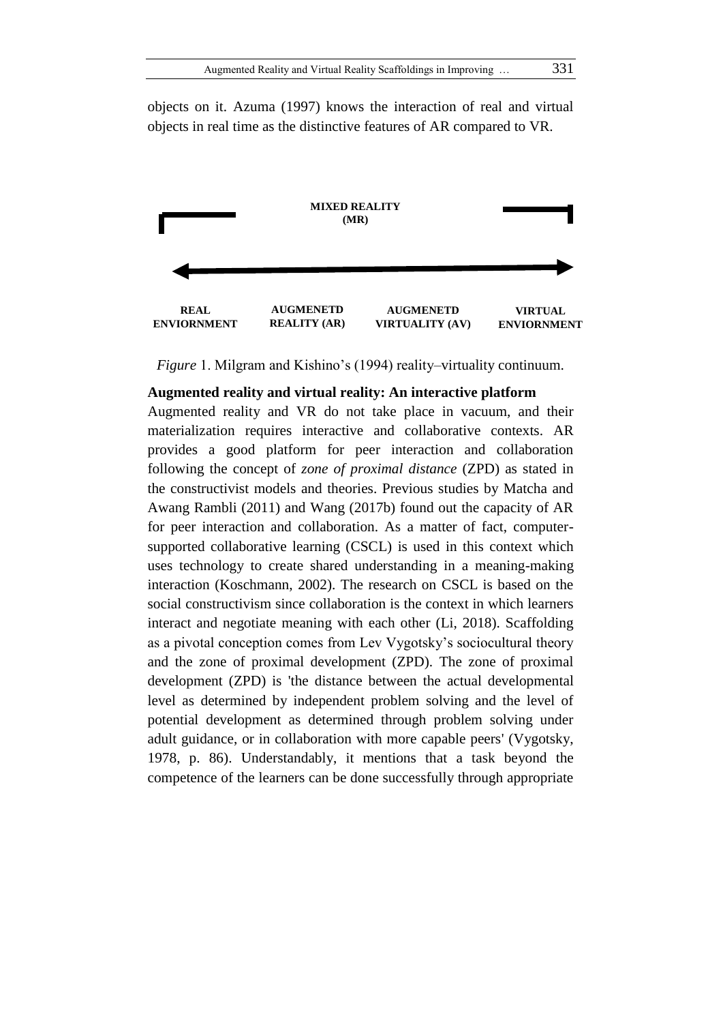objects on it. Azuma (1997) knows the interaction of real and virtual objects in real time as the distinctive features of AR compared to VR.



*Figure* 1. Milgram and Kishino's (1994) reality–virtuality continuum.

# **Augmented reality and virtual reality: An interactive platform**

Augmented reality and VR do not take place in vacuum, and their materialization requires interactive and collaborative contexts. AR provides a good platform for peer interaction and collaboration following the concept of *zone of proximal distance* (ZPD) as stated in the constructivist models and theories. Previous studies by Matcha and Awang Rambli (2011) and Wang (2017b) found out the capacity of AR for peer interaction and collaboration. As a matter of fact, computersupported collaborative learning (CSCL) is used in this context which uses technology to create shared understanding in a meaning-making interaction (Koschmann, 2002). The research on CSCL is based on the social constructivism since collaboration is the context in which learners interact and negotiate meaning with each other (Li, 2018). Scaffolding as a pivotal conception comes from Lev Vygotsky's sociocultural theory and the zone of proximal development (ZPD). The zone of proximal development (ZPD) is 'the distance between the actual developmental level as determined by independent problem solving and the level of potential development as determined through problem solving under adult guidance, or in collaboration with more capable peers' (Vygotsky, 1978, p. 86). Understandably, it mentions that a task beyond the competence of the learners can be done successfully through appropriate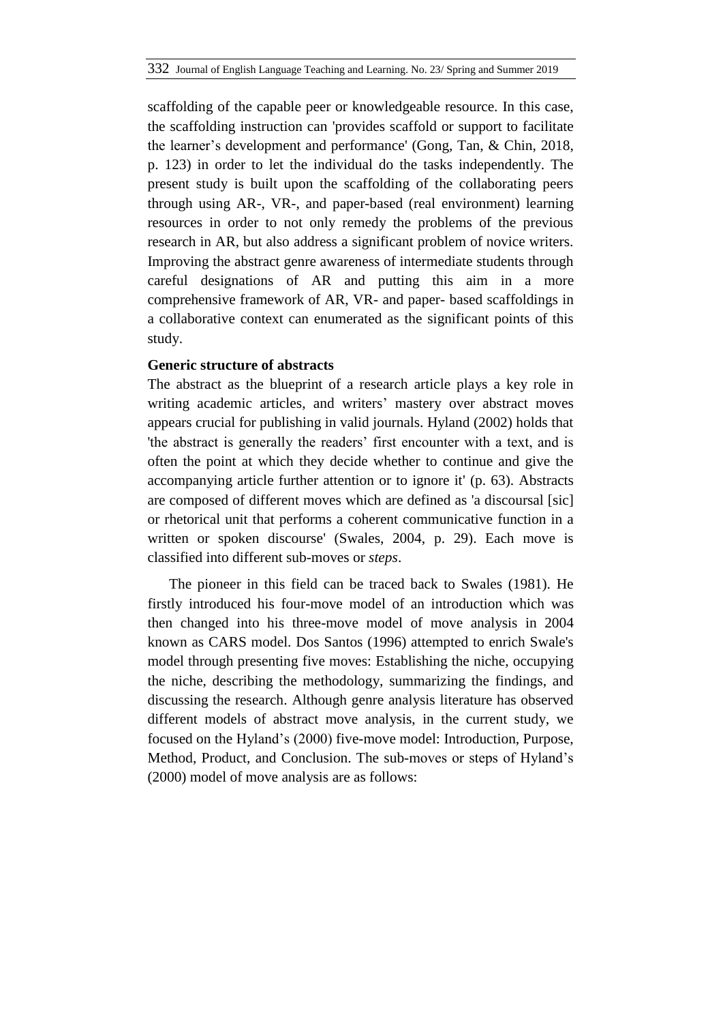scaffolding of the capable peer or knowledgeable resource. In this case, the scaffolding instruction can 'provides scaffold or support to facilitate the learner's development and performance' (Gong, Tan, & Chin, 2018, p. 123) in order to let the individual do the tasks independently. The present study is built upon the scaffolding of the collaborating peers through using AR-, VR-, and paper-based (real environment) learning resources in order to not only remedy the problems of the previous research in AR, but also address a significant problem of novice writers. Improving the abstract genre awareness of intermediate students through careful designations of AR and putting this aim in a more comprehensive framework of AR, VR- and paper- based scaffoldings in a collaborative context can enumerated as the significant points of this study.

# **Generic structure of abstracts**

The abstract as the blueprint of a research article plays a key role in writing academic articles, and writers' mastery over abstract moves appears crucial for publishing in valid journals. Hyland (2002) holds that 'the abstract is generally the readers' first encounter with a text, and is often the point at which they decide whether to continue and give the accompanying article further attention or to ignore it' (p. 63). Abstracts are composed of different moves which are defined as 'a discoursal [sic] or rhetorical unit that performs a coherent communicative function in a written or spoken discourse' (Swales, 2004, p. 29). Each move is classified into different sub-moves or *steps*.

The pioneer in this field can be traced back to Swales (1981). He firstly introduced his four-move model of an introduction which was then changed into his three-move model of move analysis in 2004 known as CARS model. Dos Santos (1996) attempted to enrich Swale's model through presenting five moves: Establishing the niche, occupying the niche, describing the methodology, summarizing the findings, and discussing the research. Although genre analysis literature has observed different models of abstract move analysis, in the current study, we focused on the Hyland's (2000) five-move model: Introduction, Purpose, Method, Product, and Conclusion. The sub-moves or steps of Hyland's (2000) model of move analysis are as follows: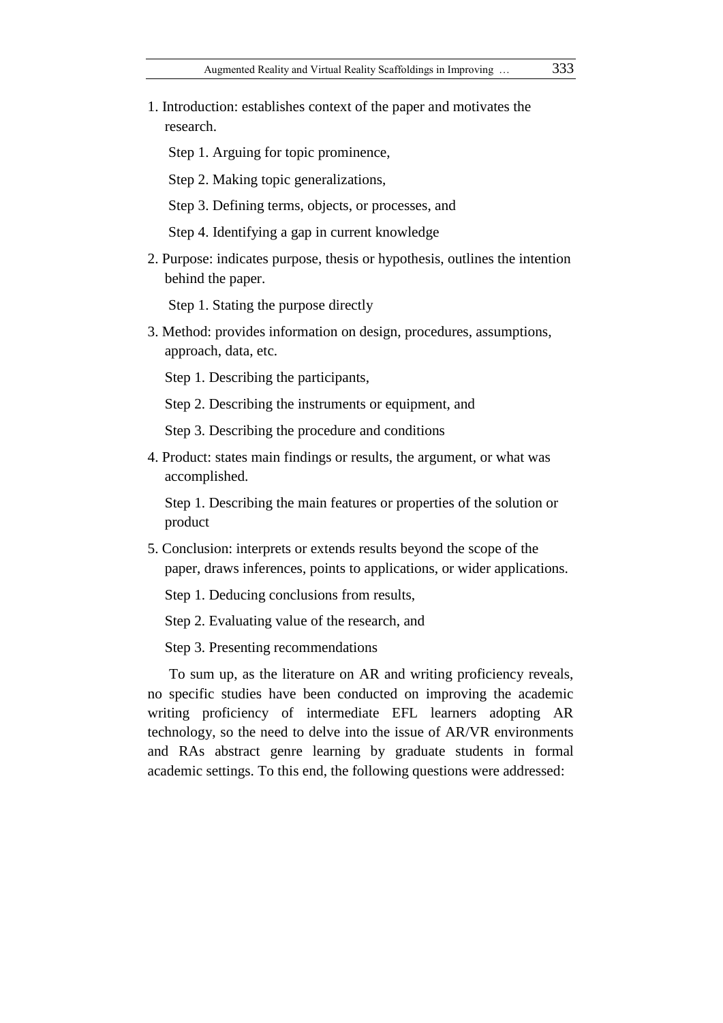1. Introduction: establishes context of the paper and motivates the research.

Step 1. Arguing for topic prominence,

Step 2. Making topic generalizations,

Step 3. Defining terms, objects, or processes, and

Step 4. Identifying a gap in current knowledge

2. Purpose: indicates purpose, thesis or hypothesis, outlines the intention behind the paper.

Step 1. Stating the purpose directly

3. Method: provides information on design, procedures, assumptions, approach, data, etc.

Step 1. Describing the participants,

Step 2. Describing the instruments or equipment, and

Step 3. Describing the procedure and conditions

4. Product: states main findings or results, the argument, or what was accomplished.

Step 1. Describing the main features or properties of the solution or product

5. Conclusion: interprets or extends results beyond the scope of the paper, draws inferences, points to applications, or wider applications.

Step 1. Deducing conclusions from results,

Step 2. Evaluating value of the research, and

Step 3. Presenting recommendations

To sum up, as the literature on AR and writing proficiency reveals, no specific studies have been conducted on improving the academic writing proficiency of intermediate EFL learners adopting AR technology, so the need to delve into the issue of AR/VR environments and RAs abstract genre learning by graduate students in formal academic settings. To this end, the following questions were addressed: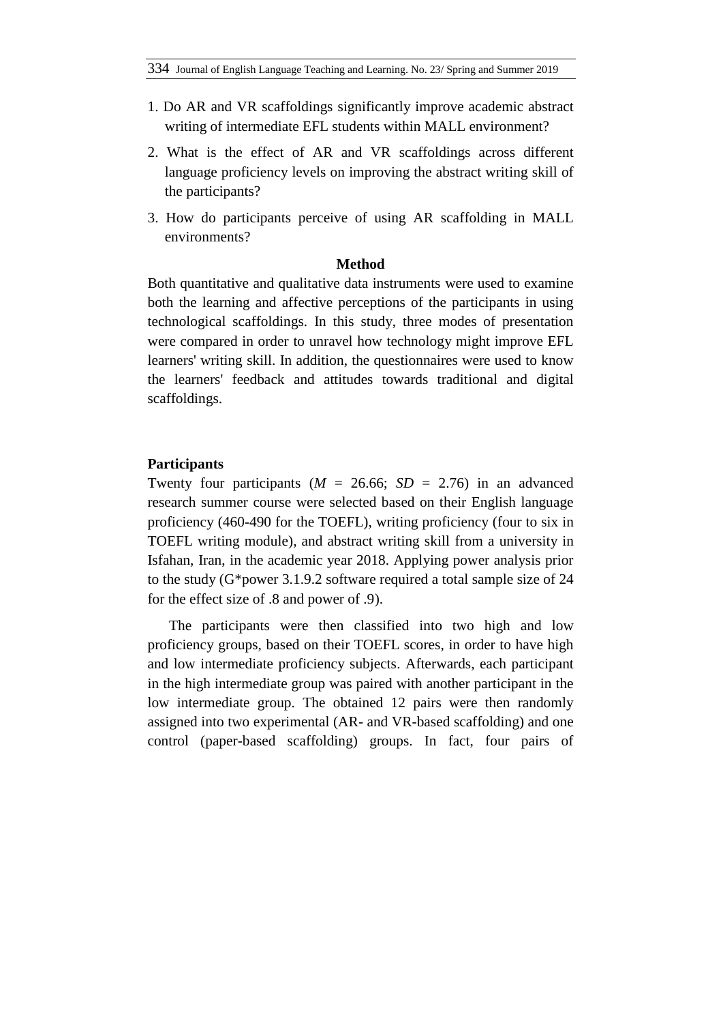- 1. Do AR and VR scaffoldings significantly improve academic abstract writing of intermediate EFL students within MALL environment?
- 2. What is the effect of AR and VR scaffoldings across different language proficiency levels on improving the abstract writing skill of the participants?
- 3. How do participants perceive of using AR scaffolding in MALL environments?

### **Method**

Both quantitative and qualitative data instruments were used to examine both the learning and affective perceptions of the participants in using technological scaffoldings. In this study, three modes of presentation were compared in order to unravel how technology might improve EFL learners' writing skill. In addition, the questionnaires were used to know the learners' feedback and attitudes towards traditional and digital scaffoldings.

# **Participants**

Twenty four participants  $(M = 26.66; SD = 2.76)$  in an advanced research summer course were selected based on their English language proficiency (460-490 for the TOEFL), writing proficiency (four to six in TOEFL writing module), and abstract writing skill from a university in Isfahan, Iran, in the academic year 2018. Applying power analysis prior to the study (G\*power 3.1.9.2 software required a total sample size of 24 for the effect size of .8 and power of .9).

The participants were then classified into two high and low proficiency groups, based on their TOEFL scores, in order to have high and low intermediate proficiency subjects. Afterwards, each participant in the high intermediate group was paired with another participant in the low intermediate group. The obtained 12 pairs were then randomly assigned into two experimental (AR- and VR-based scaffolding) and one control (paper-based scaffolding) groups. In fact, four pairs of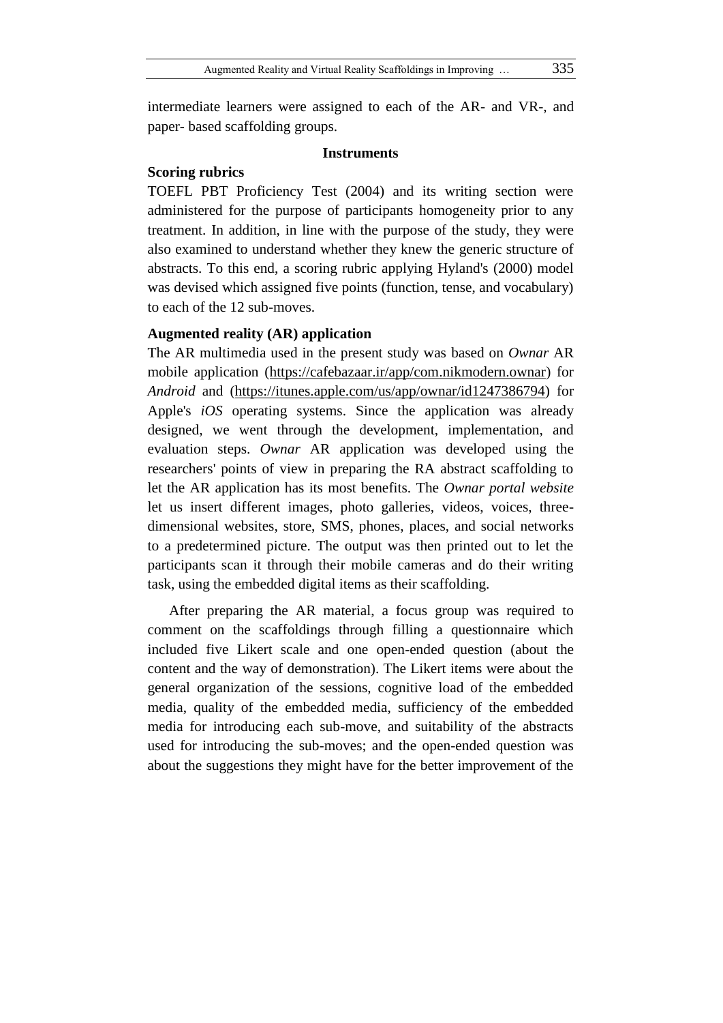intermediate learners were assigned to each of the AR- and VR-, and paper- based scaffolding groups.

#### **Instruments**

### **Scoring rubrics**

TOEFL PBT Proficiency Test (2004) and its writing section were administered for the purpose of participants homogeneity prior to any treatment. In addition, in line with the purpose of the study, they were also examined to understand whether they knew the generic structure of abstracts. To this end, a scoring rubric applying Hyland's (2000) model was devised which assigned five points (function, tense, and vocabulary) to each of the 12 sub-moves.

#### **Augmented reality (AR) application**

The AR multimedia used in the present study was based on *Ownar* AR mobile application [\(https://cafebazaar.ir/app/com.nikmodern.ownar\)](https://cafebazaar.ir/app/com.nikmodern.ownar) for *Android* and [\(https://itunes.apple.com/us/app/ownar/id1247386794\)](https://itunes.apple.com/us/app/ownar/id1247386794) for Apple's *iOS* operating systems. Since the application was already designed, we went through the development, implementation, and evaluation steps. *Ownar* AR application was developed using the researchers' points of view in preparing the RA abstract scaffolding to let the AR application has its most benefits. The *Ownar portal website* let us insert different images, photo galleries, videos, voices, threedimensional websites, store, SMS, phones, places, and social networks to a predetermined picture. The output was then printed out to let the participants scan it through their mobile cameras and do their writing task, using the embedded digital items as their scaffolding.

After preparing the AR material, a focus group was required to comment on the scaffoldings through filling a questionnaire which included five Likert scale and one open-ended question (about the content and the way of demonstration). The Likert items were about the general organization of the sessions, cognitive load of the embedded media, quality of the embedded media, sufficiency of the embedded media for introducing each sub-move, and suitability of the abstracts used for introducing the sub-moves; and the open-ended question was about the suggestions they might have for the better improvement of the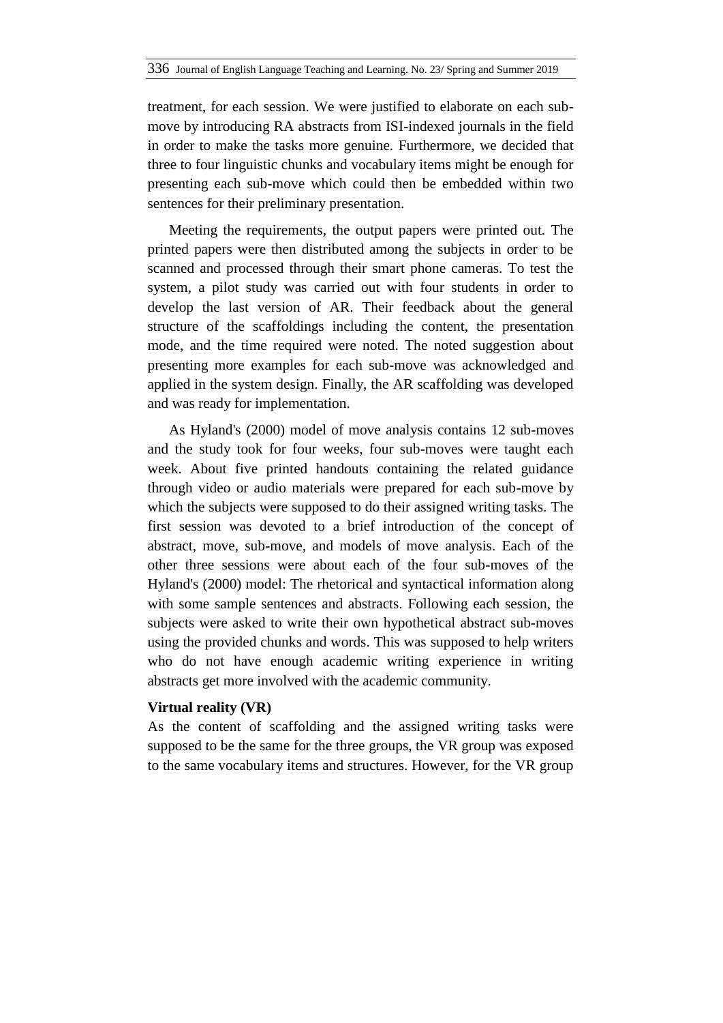treatment, for each session. We were justified to elaborate on each submove by introducing RA abstracts from ISI-indexed journals in the field in order to make the tasks more genuine. Furthermore, we decided that three to four linguistic chunks and vocabulary items might be enough for presenting each sub-move which could then be embedded within two sentences for their preliminary presentation.

Meeting the requirements, the output papers were printed out. The printed papers were then distributed among the subjects in order to be scanned and processed through their smart phone cameras. To test the system, a pilot study was carried out with four students in order to develop the last version of AR. Their feedback about the general structure of the scaffoldings including the content, the presentation mode, and the time required were noted. The noted suggestion about presenting more examples for each sub-move was acknowledged and applied in the system design. Finally, the AR scaffolding was developed and was ready for implementation.

As Hyland's (2000) model of move analysis contains 12 sub-moves and the study took for four weeks, four sub-moves were taught each week. About five printed handouts containing the related guidance through video or audio materials were prepared for each sub-move by which the subjects were supposed to do their assigned writing tasks. The first session was devoted to a brief introduction of the concept of abstract, move, sub-move, and models of move analysis. Each of the other three sessions were about each of the four sub-moves of the Hyland's (2000) model: The rhetorical and syntactical information along with some sample sentences and abstracts. Following each session, the subjects were asked to write their own hypothetical abstract sub-moves using the provided chunks and words. This was supposed to help writers who do not have enough academic writing experience in writing abstracts get more involved with the academic community.

#### **Virtual reality (VR)**

As the content of scaffolding and the assigned writing tasks were supposed to be the same for the three groups, the VR group was exposed to the same vocabulary items and structures. However, for the VR group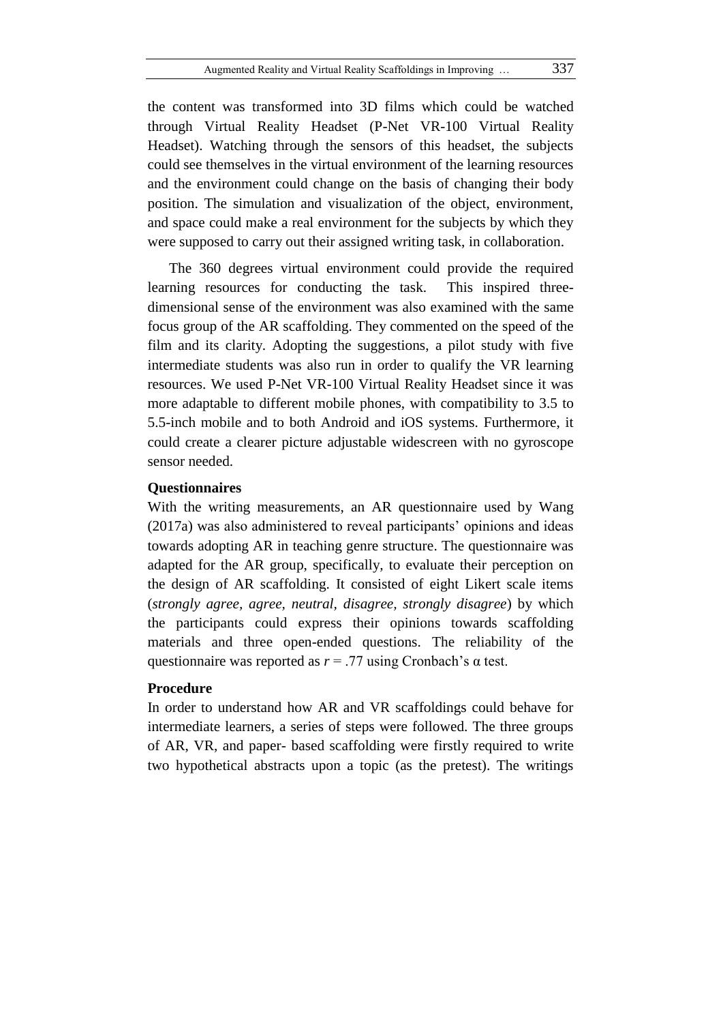the content was transformed into 3D films which could be watched through Virtual Reality Headset (P-Net VR-100 Virtual Reality Headset). Watching through the sensors of this headset, the subjects could see themselves in the virtual environment of the learning resources and the environment could change on the basis of changing their body position. The simulation and visualization of the object, environment, and space could make a real environment for the subjects by which they were supposed to carry out their assigned writing task, in collaboration.

The 360 degrees virtual environment could provide the required learning resources for conducting the task. This inspired threedimensional sense of the environment was also examined with the same focus group of the AR scaffolding. They commented on the speed of the film and its clarity. Adopting the suggestions, a pilot study with five intermediate students was also run in order to qualify the VR learning resources. We used P-Net VR-100 Virtual Reality Headset since it was more adaptable to different mobile phones, with compatibility to 3.5 to 5.5-inch mobile and to both Android and iOS systems. Furthermore, it could create a clearer picture adjustable widescreen with no gyroscope sensor needed.

# **Questionnaires**

With the writing measurements, an AR questionnaire used by Wang (2017a) was also administered to reveal participants' opinions and ideas towards adopting AR in teaching genre structure. The questionnaire was adapted for the AR group, specifically, to evaluate their perception on the design of AR scaffolding. It consisted of eight Likert scale items (*strongly agree, agree, neutral, disagree, strongly disagree*) by which the participants could express their opinions towards scaffolding materials and three open-ended questions. The reliability of the questionnaire was reported as *r* = .77 using Cronbach's α test.

# **Procedure**

In order to understand how AR and VR scaffoldings could behave for intermediate learners, a series of steps were followed. The three groups of AR, VR, and paper- based scaffolding were firstly required to write two hypothetical abstracts upon a topic (as the pretest). The writings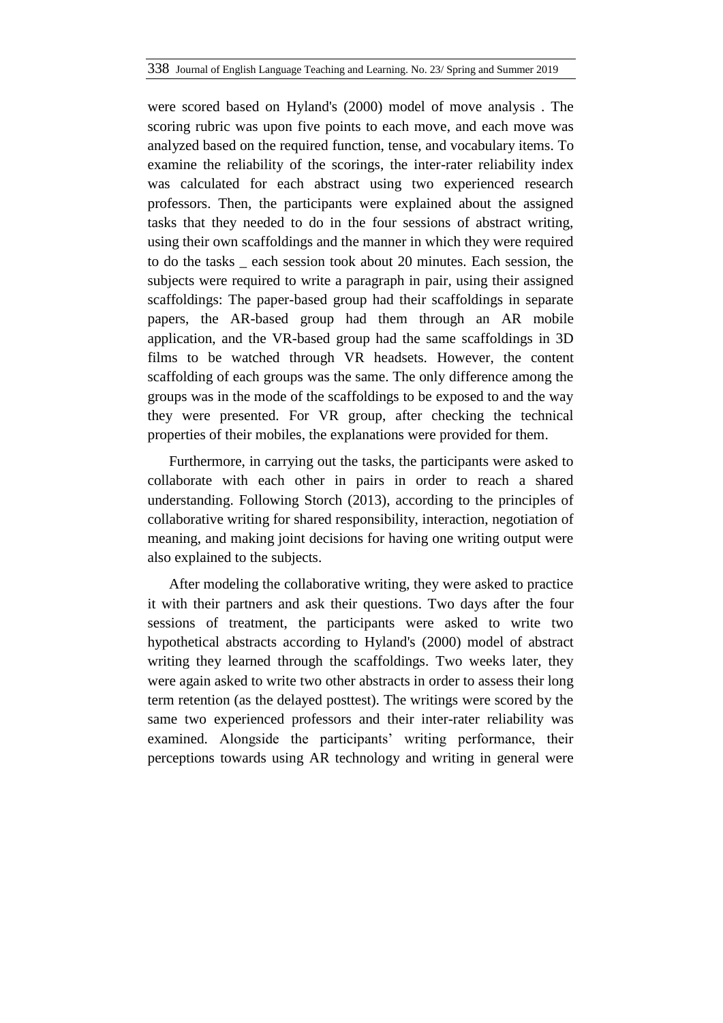were scored based on Hyland's (2000) model of move analysis . The scoring rubric was upon five points to each move, and each move was analyzed based on the required function, tense, and vocabulary items. To examine the reliability of the scorings, the inter-rater reliability index was calculated for each abstract using two experienced research professors. Then, the participants were explained about the assigned tasks that they needed to do in the four sessions of abstract writing, using their own scaffoldings and the manner in which they were required to do the tasks \_ each session took about 20 minutes. Each session, the subjects were required to write a paragraph in pair, using their assigned scaffoldings: The paper-based group had their scaffoldings in separate papers, the AR-based group had them through an AR mobile application, and the VR-based group had the same scaffoldings in 3D films to be watched through VR headsets. However, the content scaffolding of each groups was the same. The only difference among the groups was in the mode of the scaffoldings to be exposed to and the way they were presented. For VR group, after checking the technical properties of their mobiles, the explanations were provided for them.

Furthermore, in carrying out the tasks, the participants were asked to collaborate with each other in pairs in order to reach a shared understanding. Following Storch (2013), according to the principles of collaborative writing for shared responsibility, interaction, negotiation of meaning, and making joint decisions for having one writing output were also explained to the subjects.

After modeling the collaborative writing, they were asked to practice it with their partners and ask their questions. Two days after the four sessions of treatment, the participants were asked to write two hypothetical abstracts according to Hyland's (2000) model of abstract writing they learned through the scaffoldings. Two weeks later, they were again asked to write two other abstracts in order to assess their long term retention (as the delayed posttest). The writings were scored by the same two experienced professors and their inter-rater reliability was examined. Alongside the participants' writing performance, their perceptions towards using AR technology and writing in general were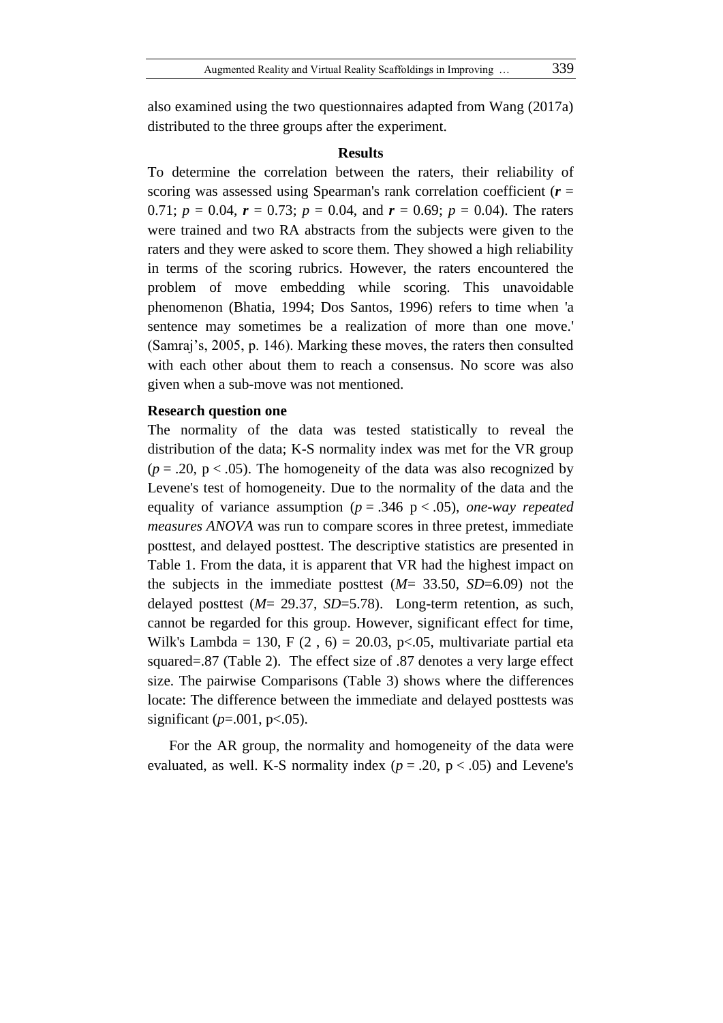also examined using the two questionnaires adapted from Wang (2017a) distributed to the three groups after the experiment.

#### **Results**

To determine the correlation between the raters, their reliability of scoring was assessed using Spearman's rank correlation coefficient (*r* = 0.71;  $p = 0.04$ ,  $r = 0.73$ ;  $p = 0.04$ , and  $r = 0.69$ ;  $p = 0.04$ ). The raters were trained and two RA abstracts from the subjects were given to the raters and they were asked to score them. They showed a high reliability in terms of the scoring rubrics. However, the raters encountered the problem of move embedding while scoring. This unavoidable phenomenon (Bhatia, 1994; Dos Santos, 1996) refers to time when 'a sentence may sometimes be a realization of more than one move.' (Samraj's, 2005, p. 146). Marking these moves, the raters then consulted with each other about them to reach a consensus. No score was also given when a sub-move was not mentioned.

#### **Research question one**

The normality of the data was tested statistically to reveal the distribution of the data; K-S normality index was met for the VR group  $(p = .20, p < .05)$ . The homogeneity of the data was also recognized by Levene's test of homogeneity. Due to the normality of the data and the equality of variance assumption ( $p = .346$  p < .05), *one-way repeated measures ANOVA* was run to compare scores in three pretest, immediate posttest, and delayed posttest. The descriptive statistics are presented in Table 1. From the data, it is apparent that VR had the highest impact on the subjects in the immediate posttest (*M*= 33.50, *SD*=6.09) not the delayed posttest (*M*= 29.37, *SD*=5.78). Long-term retention, as such, cannot be regarded for this group. However, significant effect for time, Wilk's Lambda = 130, F  $(2, 6)$  = 20.03, p<.05, multivariate partial eta squared=.87 (Table 2). The effect size of .87 denotes a very large effect size. The pairwise Comparisons (Table 3) shows where the differences locate: The difference between the immediate and delayed posttests was significant ( $p = .001$ ,  $p < .05$ ).

For the AR group, the normality and homogeneity of the data were evaluated, as well. K-S normality index ( $p = .20$ ,  $p < .05$ ) and Levene's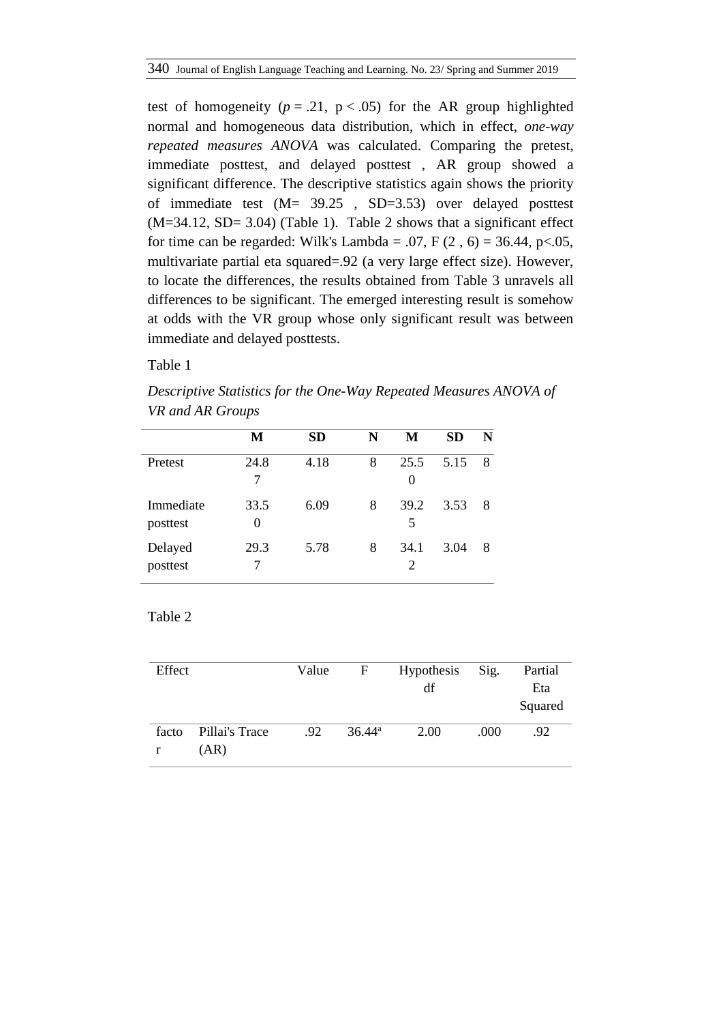test of homogeneity  $(p = .21, p < .05)$  for the AR group highlighted normal and homogeneous data distribution, which in effect, *one-way repeated measures ANOVA* was calculated. Comparing the pretest, immediate posttest, and delayed posttest , AR group showed a significant difference. The descriptive statistics again shows the priority of immediate test (M= 39.25 , SD=3.53) over delayed posttest  $(M=34.12, SD= 3.04)$  (Table 1). Table 2 shows that a significant effect for time can be regarded: Wilk's Lambda = .07, F  $(2, 6)$  = 36.44, p<.05, multivariate partial eta squared=.92 (a very large effect size). However, to locate the differences, the results obtained from Table 3 unravels all differences to be significant. The emerged interesting result is somehow at odds with the VR group whose only significant result was between immediate and delayed posttests.

Table 1

*Descriptive Statistics for the One-Way Repeated Measures ANOVA of VR and AR Groups*

|                       | М         | <b>SD</b> | N | М                | <b>SD</b> | N |
|-----------------------|-----------|-----------|---|------------------|-----------|---|
| Pretest               | 24.8<br>7 | 4.18      | 8 | 25.5<br>$\theta$ | 5.15      | 8 |
| Immediate<br>posttest | 33.5<br>0 | 6.09      | 8 | 39.2<br>5        | 3.53      | 8 |
| Delayed<br>posttest   | 29.3      | 5.78      | 8 | 34.1<br>2        | 3.04      | 8 |

| Effect     |                        | Value | F               | <b>Hypothesis</b><br>df | Sig. | Partial<br>Eta<br>Squared |
|------------|------------------------|-------|-----------------|-------------------------|------|---------------------------|
| facto<br>r | Pillai's Trace<br>(AR) | .92   | $36.44^{\circ}$ | 2.00                    | .000 | .92                       |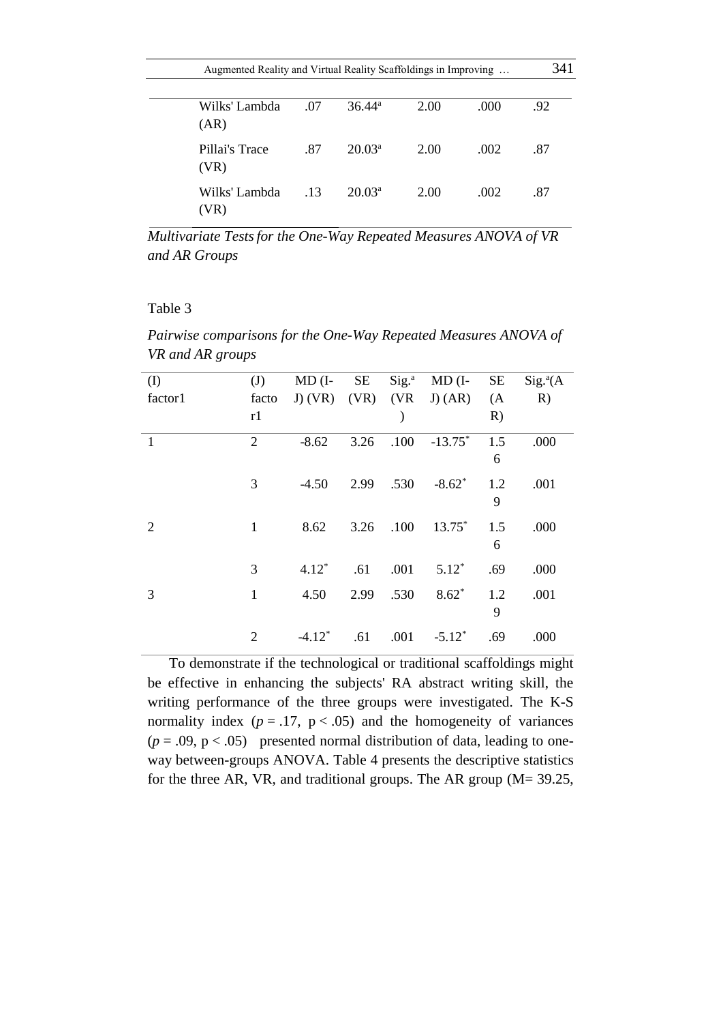|                        | Augmented Reality and Virtual Reality Scaffoldings in Improving |                    |      |      |     |  |  |
|------------------------|-----------------------------------------------------------------|--------------------|------|------|-----|--|--|
| Wilks' Lambda<br>(AR)  | .07                                                             | $36.44^{\rm a}$    | 2.00 | .000 | .92 |  |  |
| Pillai's Trace<br>(VR) | .87                                                             | $20.03^a$          | 2.00 | .002 | .87 |  |  |
| Wilks' Lambda<br>(VR)  | .13                                                             | 20.03 <sup>a</sup> | 2.00 | .002 | .87 |  |  |

*Multivariate Testsfor the One-Way Repeated Measures ANOVA of VR and AR Groups*

#### Table 3

*Pairwise comparisons for the One-Way Repeated Measures ANOVA of VR and AR groups*

| $\rm (I)$ | (J)            | $MD$ (I-             | SE        | $Sig.^a$      | $MD$ (I-  | SE  | $Sig.^{a}(A)$ |
|-----------|----------------|----------------------|-----------|---------------|-----------|-----|---------------|
| factor1   | facto          | $J)$ (VR)            |           | $(VR)$ $(VR)$ | $J)$ (AR) | (A) | R)            |
|           | r1             |                      |           |               |           | R)  |               |
| 1         | $\overline{2}$ | $-8.62$              | 3.26      | .100          | $-13.75*$ | 1.5 | .000          |
|           |                |                      |           |               |           | 6   |               |
|           | 3              | $-4.50$              | 2.99 .530 |               | $-8.62*$  | 1.2 | .001          |
|           |                |                      |           |               |           | 9   |               |
| 2         | $\mathbf{1}$   | 8.62                 | 3.26      | .100          | $13.75^*$ | 1.5 | .000          |
|           |                |                      |           |               |           | 6   |               |
|           | 3              | $4.12*$              | .61       | .001          | $5.12*$   | .69 | .000          |
| 3         | $\mathbf{1}$   | 4.50                 | 2.99      | .530          | $8.62*$   | 1.2 | .001          |
|           |                |                      |           |               |           | 9   |               |
|           | $\overline{2}$ | $-4.12$ <sup>*</sup> | .61       | .001          | $-5.12*$  | .69 | .000          |

To demonstrate if the technological or traditional scaffoldings might be effective in enhancing the subjects' RA abstract writing skill, the writing performance of the three groups were investigated. The K-S normality index  $(p = .17, p < .05)$  and the homogeneity of variances  $(p = .09, p < .05)$  presented normal distribution of data, leading to oneway between-groups ANOVA. Table 4 presents the descriptive statistics for the three AR, VR, and traditional groups. The AR group (M= 39.25,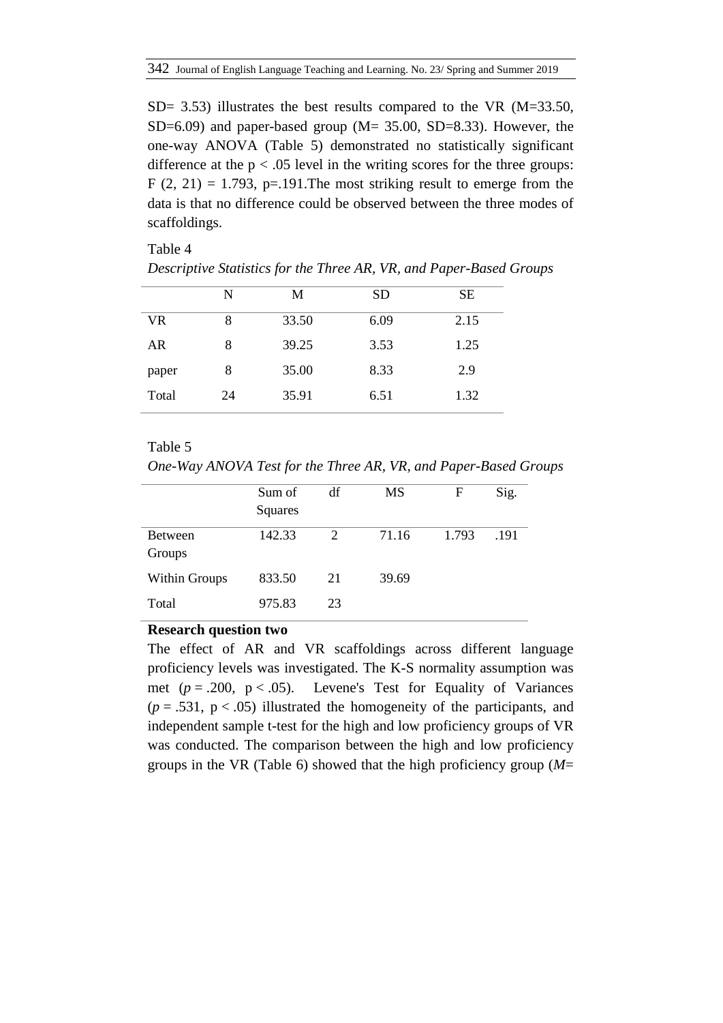SD= 3.53) illustrates the best results compared to the VR (M=33.50, SD=6.09) and paper-based group ( $M = 35.00$ , SD=8.33). However, the one-way ANOVA (Table 5) demonstrated no statistically significant difference at the  $p < .05$  level in the writing scores for the three groups:  $F(2, 21) = 1.793$ , p=.191. The most striking result to emerge from the data is that no difference could be observed between the three modes of scaffoldings.

Table 4

|  |  |  |  |  | Descriptive Statistics for the Three AR, VR, and Paper-Based Groups |  |
|--|--|--|--|--|---------------------------------------------------------------------|--|
|--|--|--|--|--|---------------------------------------------------------------------|--|

|       | N  | M     | SD   | SЕ   |
|-------|----|-------|------|------|
| VR.   | 8  | 33.50 | 6.09 | 2.15 |
| AR    | 8  | 39.25 | 3.53 | 1.25 |
| paper | 8  | 35.00 | 8.33 | 2.9  |
| Total | 24 | 35.91 | 6.51 | 1.32 |
|       |    |       |      |      |

# Table 5

*One-Way ANOVA Test for the Three AR, VR, and Paper-Based Groups*

|                      | Sum of  | df | MS    | F     | Sig. |
|----------------------|---------|----|-------|-------|------|
|                      | Squares |    |       |       |      |
| <b>Between</b>       | 142.33  | 2  | 71.16 | 1.793 | .191 |
| Groups               |         |    |       |       |      |
| <b>Within Groups</b> | 833.50  | 21 | 39.69 |       |      |
| Total                | 975.83  | 23 |       |       |      |

#### **Research question two**

The effect of AR and VR scaffoldings across different language proficiency levels was investigated. The K-S normality assumption was met  $(p = .200, p < .05)$ . Levene's Test for Equality of Variances  $(p = .531, p < .05)$  illustrated the homogeneity of the participants, and independent sample t-test for the high and low proficiency groups of VR was conducted. The comparison between the high and low proficiency groups in the VR (Table 6) showed that the high proficiency group (*M*=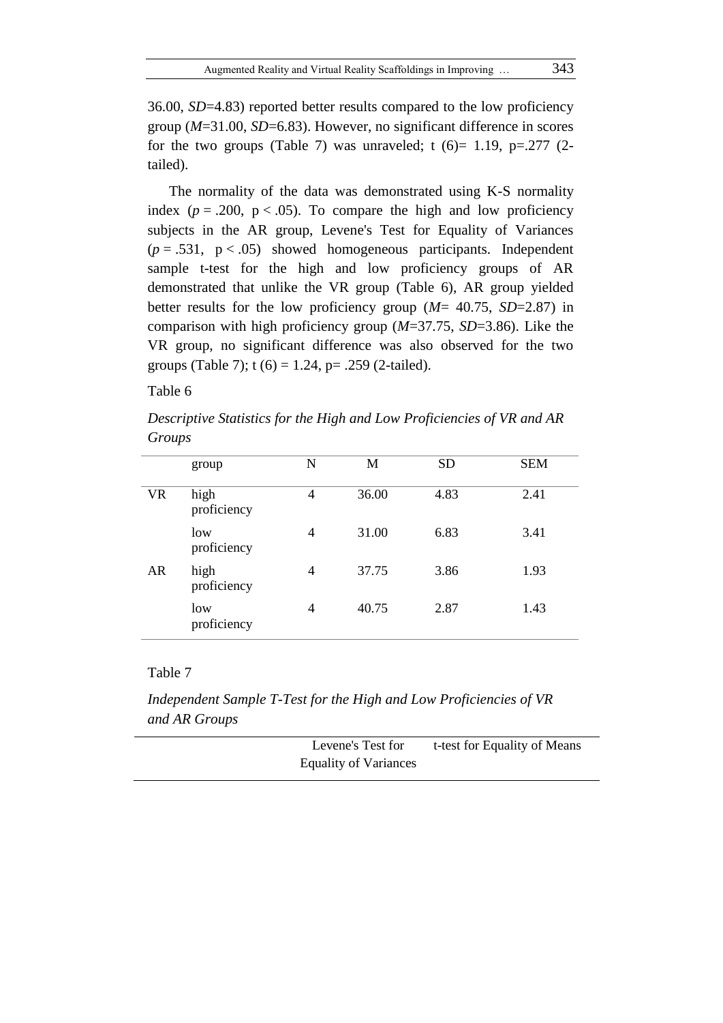36.00, *SD*=4.83) reported better results compared to the low proficiency group (*M*=31.00, *SD*=6.83). However, no significant difference in scores for the two groups (Table 7) was unraveled; t  $(6)=1.19$ ,  $p=.277$   $(2$ tailed).

The normality of the data was demonstrated using K-S normality index ( $p = .200$ ,  $p < .05$ ). To compare the high and low proficiency subjects in the AR group, Levene's Test for Equality of Variances  $(p = .531, p < .05)$  showed homogeneous participants. Independent sample t-test for the high and low proficiency groups of AR demonstrated that unlike the VR group (Table 6), AR group yielded better results for the low proficiency group (*M*= 40.75, *SD*=2.87) in comparison with high proficiency group (*M*=37.75, *SD*=3.86). Like the VR group, no significant difference was also observed for the two groups (Table 7);  $t(6) = 1.24$ ,  $p= .259$  (2-tailed).

# Table 6

*Descriptive Statistics for the High and Low Proficiencies of VR and AR Groups*

|           | group               | N | M     | <b>SD</b> | <b>SEM</b> |
|-----------|---------------------|---|-------|-----------|------------|
| <b>VR</b> | high<br>proficiency | 4 | 36.00 | 4.83      | 2.41       |
|           | low<br>proficiency  | 4 | 31.00 | 6.83      | 3.41       |
| AR        | high<br>proficiency | 4 | 37.75 | 3.86      | 1.93       |
|           | low<br>proficiency  | 4 | 40.75 | 2.87      | 1.43       |

*Independent Sample T-Test for the High and Low Proficiencies of VR and AR Groups*

| Levene's Test for            | t-test for Equality of Means |
|------------------------------|------------------------------|
| <b>Equality of Variances</b> |                              |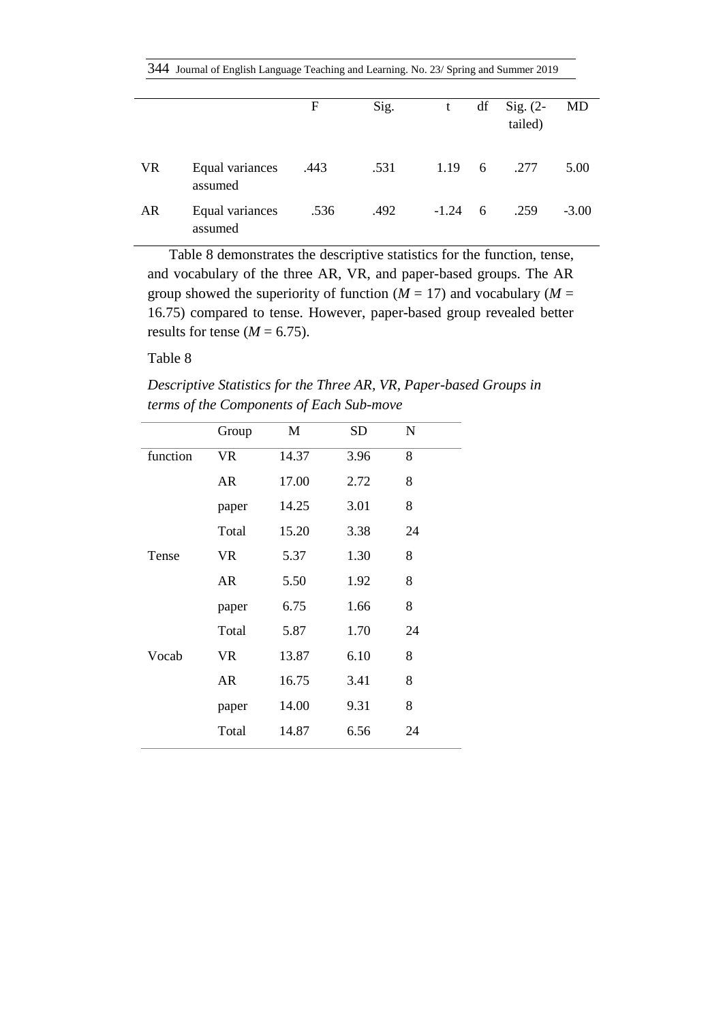|           | 344 Journal of English Language Teaching and Learning. No. 23/ Spring and Summer 2019 |      |      |         |     |                       |         |  |  |
|-----------|---------------------------------------------------------------------------------------|------|------|---------|-----|-----------------------|---------|--|--|
|           |                                                                                       | F    | Sig. | t       | df  | Sig. $(2-$<br>tailed) | MD      |  |  |
| <b>VR</b> | Equal variances<br>assumed                                                            | .443 | .531 | 1.19    | 6   | .277                  | 5.00    |  |  |
| AR        | Equal variances<br>assumed                                                            | .536 | .492 | $-1.24$ | - 6 | .259                  | $-3.00$ |  |  |

Table 8 demonstrates the descriptive statistics for the function, tense, and vocabulary of the three AR, VR, and paper-based groups. The AR group showed the superiority of function  $(M = 17)$  and vocabulary  $(M = 17)$ 16.75) compared to tense. However, paper-based group revealed better results for tense  $(M = 6.75)$ .

*Descriptive Statistics for the Three AR, VR, Paper-based Groups in terms of the Components of Each Sub-move*

|          | Group     | M     | <b>SD</b> | N  |  |
|----------|-----------|-------|-----------|----|--|
| function | <b>VR</b> | 14.37 | 3.96      | 8  |  |
|          | AR        | 17.00 | 2.72      | 8  |  |
|          | paper     | 14.25 | 3.01      | 8  |  |
|          | Total     | 15.20 | 3.38      | 24 |  |
| Tense    | <b>VR</b> | 5.37  | 1.30      | 8  |  |
|          | <b>AR</b> | 5.50  | 1.92      | 8  |  |
|          | paper     | 6.75  | 1.66      | 8  |  |
|          | Total     | 5.87  | 1.70      | 24 |  |
| Vocab    | <b>VR</b> | 13.87 | 6.10      | 8  |  |
|          | <b>AR</b> | 16.75 | 3.41      | 8  |  |
|          | paper     | 14.00 | 9.31      | 8  |  |
|          | Total     | 14.87 | 6.56      | 24 |  |
|          |           |       |           |    |  |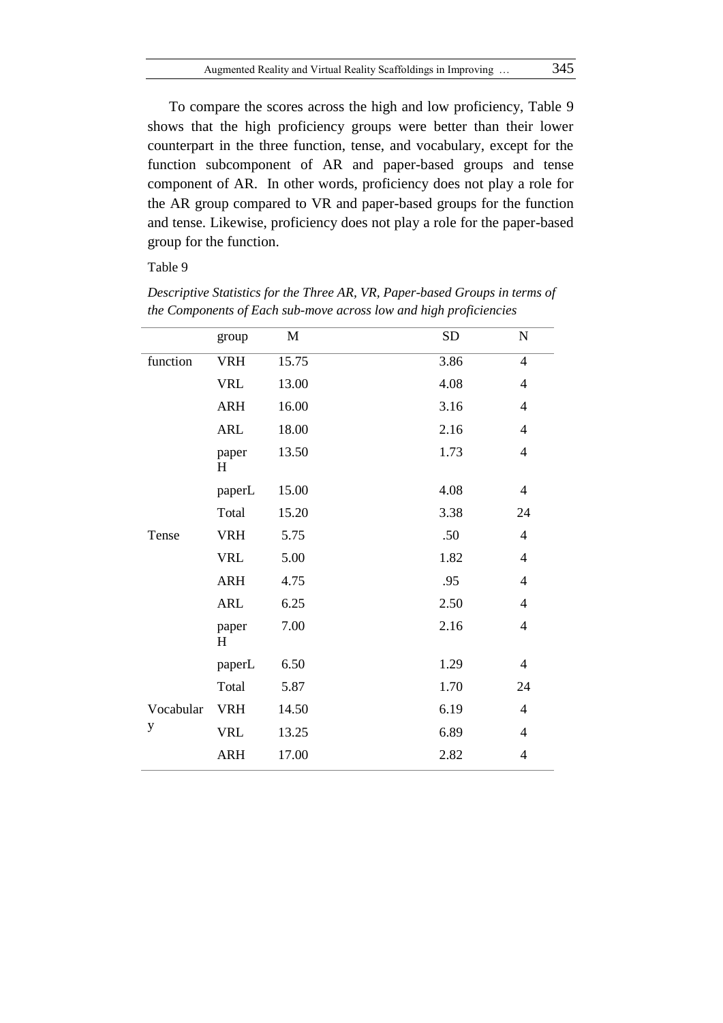To compare the scores across the high and low proficiency, Table 9 shows that the high proficiency groups were better than their lower counterpart in the three function, tense, and vocabulary, except for the function subcomponent of AR and paper-based groups and tense component of AR. In other words, proficiency does not play a role for the AR group compared to VR and paper-based groups for the function and tense. Likewise, proficiency does not play a role for the paper-based group for the function.

|           | group      | M     | SD   | ${\bf N}$      |
|-----------|------------|-------|------|----------------|
| function  | <b>VRH</b> | 15.75 | 3.86 | $\overline{4}$ |
|           | <b>VRL</b> | 13.00 | 4.08 | $\overline{4}$ |
|           | <b>ARH</b> | 16.00 | 3.16 | $\overline{4}$ |
|           | <b>ARL</b> | 18.00 | 2.16 | $\overline{4}$ |
|           | paper<br>H | 13.50 | 1.73 | $\overline{4}$ |
|           | paperL     | 15.00 | 4.08 | $\overline{4}$ |
|           | Total      | 15.20 | 3.38 | 24             |
| Tense     | <b>VRH</b> | 5.75  | .50  | $\overline{4}$ |
|           | <b>VRL</b> | 5.00  | 1.82 | $\overline{4}$ |
|           | <b>ARH</b> | 4.75  | .95  | $\overline{4}$ |
|           | <b>ARL</b> | 6.25  | 2.50 | $\overline{4}$ |
|           | paper<br>H | 7.00  | 2.16 | $\overline{4}$ |
|           | paperL     | 6.50  | 1.29 | $\overline{4}$ |
|           | Total      | 5.87  | 1.70 | 24             |
| Vocabular | <b>VRH</b> | 14.50 | 6.19 | $\overline{4}$ |
| y         | <b>VRL</b> | 13.25 | 6.89 | $\overline{4}$ |
|           | <b>ARH</b> | 17.00 | 2.82 | $\overline{4}$ |

*Descriptive Statistics for the Three AR, VR, Paper-based Groups in terms of the Components of Each sub-move across low and high proficiencies*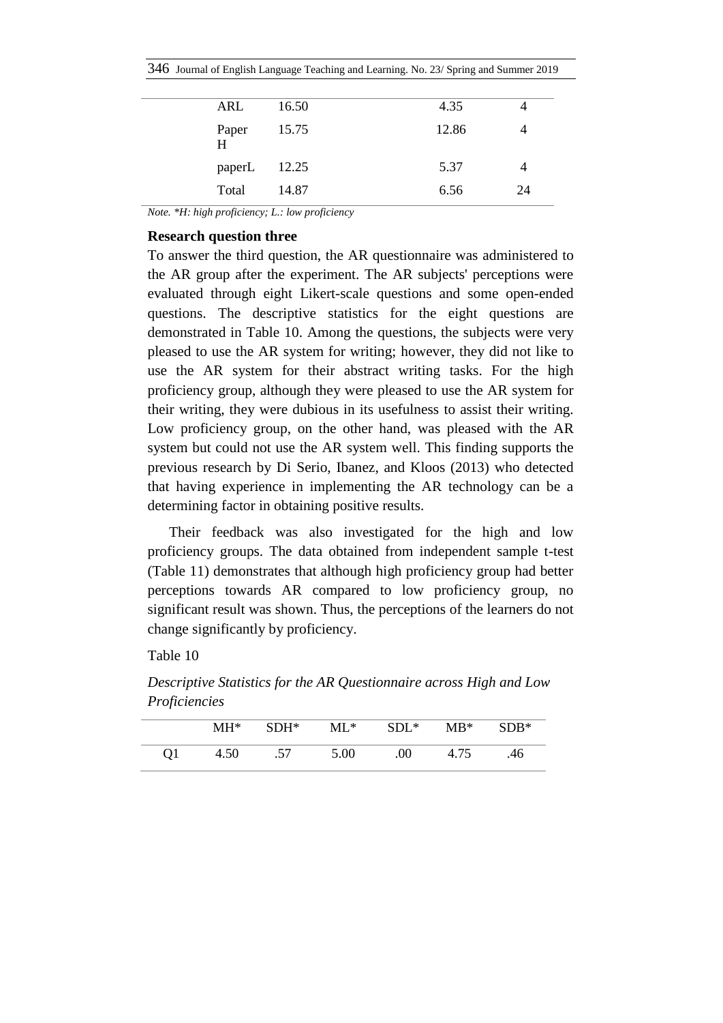|  |  |  |  |  |  |  |  | 346 Journal of English Language Teaching and Learning. No. 23/ Spring and Summer 2019 |
|--|--|--|--|--|--|--|--|---------------------------------------------------------------------------------------|
|--|--|--|--|--|--|--|--|---------------------------------------------------------------------------------------|

| ARL          | 16.50 | 4.35  |    |
|--------------|-------|-------|----|
| Paper<br>H   | 15.75 | 12.86 |    |
| paperL 12.25 |       | 5.37  |    |
| Total        | 14.87 | 6.56  | 24 |

*Note. \*H: high proficiency; L.: low proficiency*

### **Research question three**

To answer the third question, the AR questionnaire was administered to the AR group after the experiment. The AR subjects' perceptions were evaluated through eight Likert-scale questions and some open-ended questions. The descriptive statistics for the eight questions are demonstrated in Table 10. Among the questions, the subjects were very pleased to use the AR system for writing; however, they did not like to use the AR system for their abstract writing tasks. For the high proficiency group, although they were pleased to use the AR system for their writing, they were dubious in its usefulness to assist their writing. Low proficiency group, on the other hand, was pleased with the AR system but could not use the AR system well. This finding supports the previous research by Di Serio, Ibanez, and Kloos (2013) who detected that having experience in implementing the AR technology can be a determining factor in obtaining positive results.

Their feedback was also investigated for the high and low proficiency groups. The data obtained from independent sample t-test (Table 11) demonstrates that although high proficiency group had better perceptions towards AR compared to low proficiency group, no significant result was shown. Thus, the perceptions of the learners do not change significantly by proficiency.

*Descriptive Statistics for the AR Questionnaire across High and Low Proficiencies*

|    | MH*  | $SDH^*$ | $ML^*$ | $SDL^*$ | $MB^*$ | $SDB*$ |
|----|------|---------|--------|---------|--------|--------|
| Q1 | 4.50 | .57     | 5.00   | .00.    | 4.75   | .46    |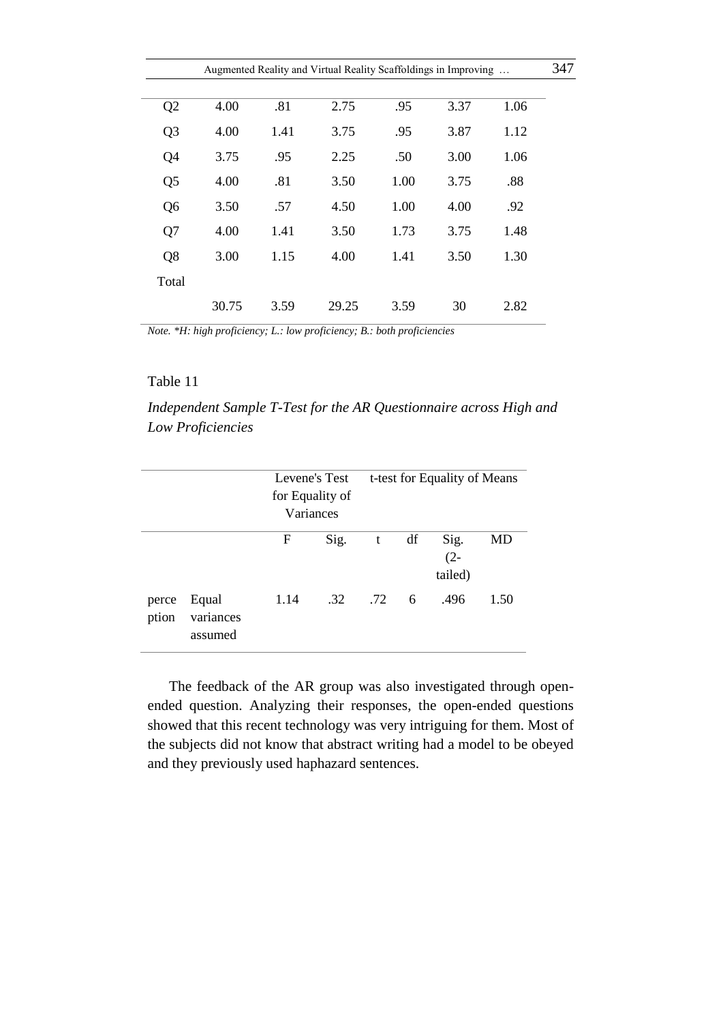| 347 |
|-----|
|     |
|     |
|     |
|     |
|     |
|     |
|     |
|     |
|     |
|     |

*Note. \*H: high proficiency; L.: low proficiency; B.: both proficiencies*

#### Table 11

*Independent Sample T-Test for the AR Questionnaire across High and Low Proficiencies*

|                |                               | Levene's Test<br>for Equality of<br>Variances |      | t-test for Equality of Means |    |                           |      |
|----------------|-------------------------------|-----------------------------------------------|------|------------------------------|----|---------------------------|------|
|                |                               | F                                             | Sig. | t                            | df | Sig.<br>$(2 -$<br>tailed) | MD   |
| perce<br>ption | Equal<br>variances<br>assumed | 1.14                                          | .32  | .72                          | 6  | .496                      | 1.50 |

The feedback of the AR group was also investigated through openended question. Analyzing their responses, the open-ended questions showed that this recent technology was very intriguing for them. Most of the subjects did not know that abstract writing had a model to be obeyed and they previously used haphazard sentences.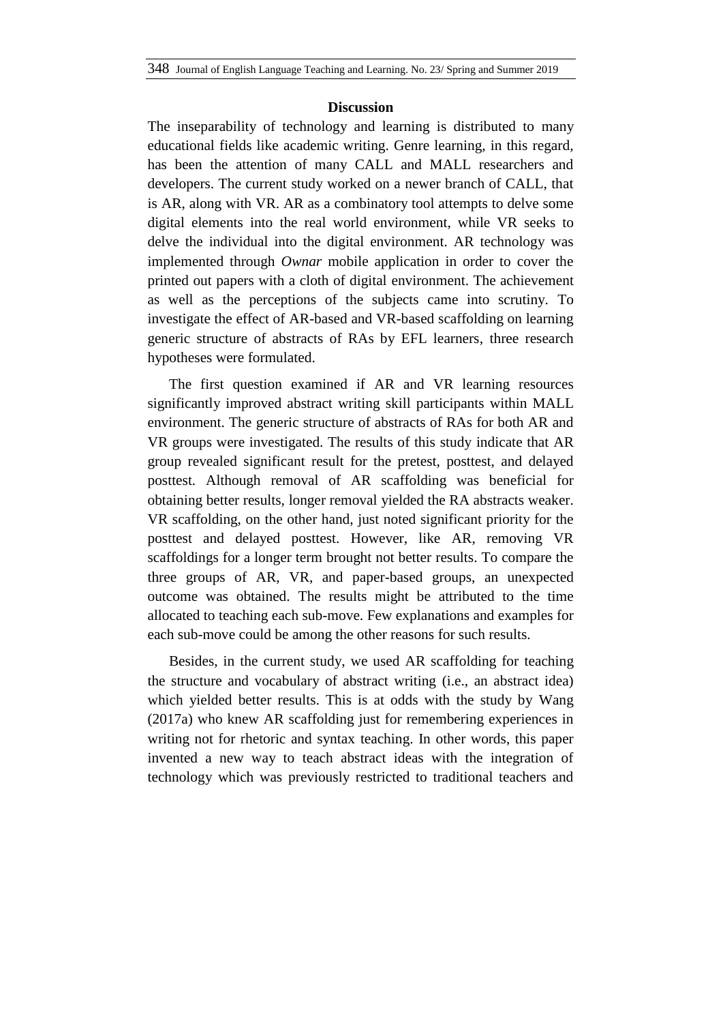#### **Discussion**

The inseparability of technology and learning is distributed to many educational fields like academic writing. Genre learning, in this regard, has been the attention of many CALL and MALL researchers and developers. The current study worked on a newer branch of CALL, that is AR, along with VR. AR as a combinatory tool attempts to delve some digital elements into the real world environment, while VR seeks to delve the individual into the digital environment. AR technology was implemented through *Ownar* mobile application in order to cover the printed out papers with a cloth of digital environment. The achievement as well as the perceptions of the subjects came into scrutiny. To investigate the effect of AR-based and VR-based scaffolding on learning generic structure of abstracts of RAs by EFL learners, three research hypotheses were formulated.

The first question examined if AR and VR learning resources significantly improved abstract writing skill participants within MALL environment. The generic structure of abstracts of RAs for both AR and VR groups were investigated. The results of this study indicate that AR group revealed significant result for the pretest, posttest, and delayed posttest. Although removal of AR scaffolding was beneficial for obtaining better results, longer removal yielded the RA abstracts weaker. VR scaffolding, on the other hand, just noted significant priority for the posttest and delayed posttest. However, like AR, removing VR scaffoldings for a longer term brought not better results. To compare the three groups of AR, VR, and paper-based groups, an unexpected outcome was obtained. The results might be attributed to the time allocated to teaching each sub-move. Few explanations and examples for each sub-move could be among the other reasons for such results.

Besides, in the current study, we used AR scaffolding for teaching the structure and vocabulary of abstract writing (i.e., an abstract idea) which yielded better results. This is at odds with the study by Wang (2017a) who knew AR scaffolding just for remembering experiences in writing not for rhetoric and syntax teaching. In other words, this paper invented a new way to teach abstract ideas with the integration of technology which was previously restricted to traditional teachers and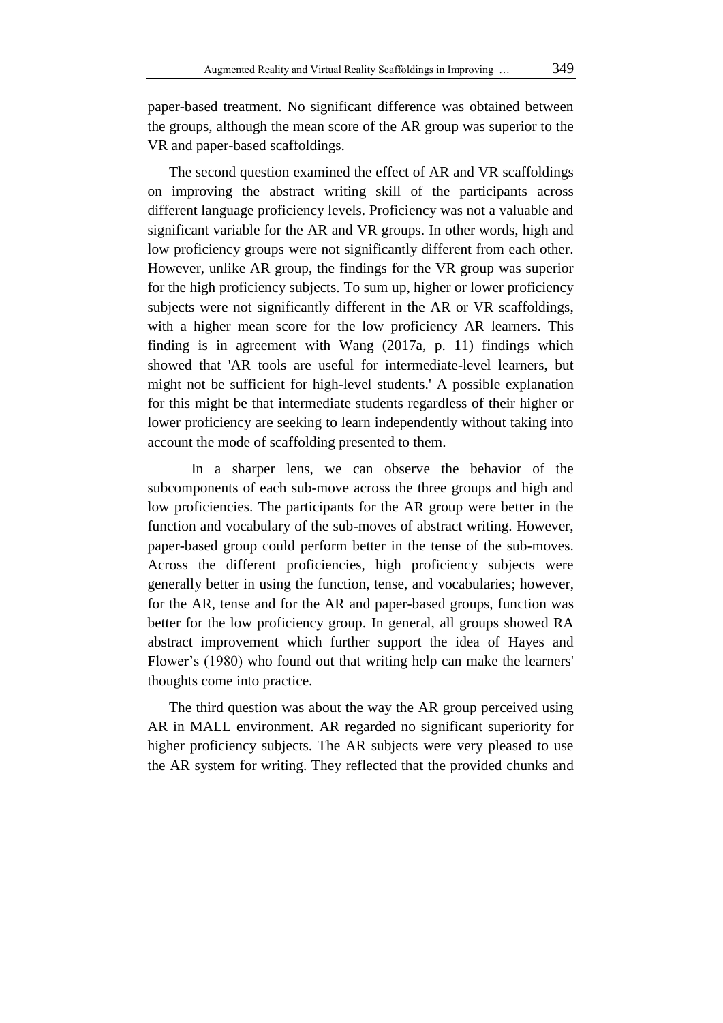paper-based treatment. No significant difference was obtained between the groups, although the mean score of the AR group was superior to the VR and paper-based scaffoldings.

The second question examined the effect of AR and VR scaffoldings on improving the abstract writing skill of the participants across different language proficiency levels. Proficiency was not a valuable and significant variable for the AR and VR groups. In other words, high and low proficiency groups were not significantly different from each other. However, unlike AR group, the findings for the VR group was superior for the high proficiency subjects. To sum up, higher or lower proficiency subjects were not significantly different in the AR or VR scaffoldings, with a higher mean score for the low proficiency AR learners. This finding is in agreement with Wang (2017a, p. 11) findings which showed that 'AR tools are useful for intermediate-level learners, but might not be sufficient for high-level students.' A possible explanation for this might be that intermediate students regardless of their higher or lower proficiency are seeking to learn independently without taking into account the mode of scaffolding presented to them.

In a sharper lens, we can observe the behavior of the subcomponents of each sub-move across the three groups and high and low proficiencies. The participants for the AR group were better in the function and vocabulary of the sub-moves of abstract writing. However, paper-based group could perform better in the tense of the sub-moves. Across the different proficiencies, high proficiency subjects were generally better in using the function, tense, and vocabularies; however, for the AR, tense and for the AR and paper-based groups, function was better for the low proficiency group. In general, all groups showed RA abstract improvement which further support the idea of Hayes and Flower's (1980) who found out that writing help can make the learners' thoughts come into practice.

The third question was about the way the AR group perceived using AR in MALL environment. AR regarded no significant superiority for higher proficiency subjects. The AR subjects were very pleased to use the AR system for writing. They reflected that the provided chunks and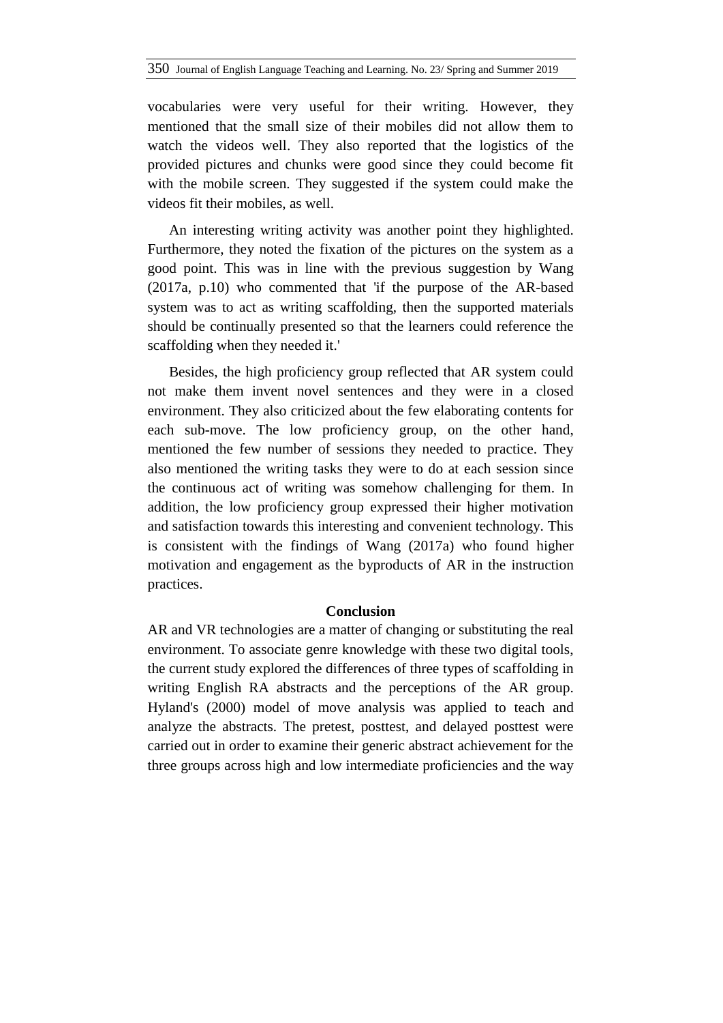vocabularies were very useful for their writing. However, they mentioned that the small size of their mobiles did not allow them to watch the videos well. They also reported that the logistics of the provided pictures and chunks were good since they could become fit with the mobile screen. They suggested if the system could make the videos fit their mobiles, as well.

An interesting writing activity was another point they highlighted. Furthermore, they noted the fixation of the pictures on the system as a good point. This was in line with the previous suggestion by Wang (2017a, p.10) who commented that 'if the purpose of the AR-based system was to act as writing scaffolding, then the supported materials should be continually presented so that the learners could reference the scaffolding when they needed it.'

Besides, the high proficiency group reflected that AR system could not make them invent novel sentences and they were in a closed environment. They also criticized about the few elaborating contents for each sub-move. The low proficiency group, on the other hand, mentioned the few number of sessions they needed to practice. They also mentioned the writing tasks they were to do at each session since the continuous act of writing was somehow challenging for them. In addition, the low proficiency group expressed their higher motivation and satisfaction towards this interesting and convenient technology. This is consistent with the findings of Wang (2017a) who found higher motivation and engagement as the byproducts of AR in the instruction practices.

#### **Conclusion**

AR and VR technologies are a matter of changing or substituting the real environment. To associate genre knowledge with these two digital tools, the current study explored the differences of three types of scaffolding in writing English RA abstracts and the perceptions of the AR group. Hyland's (2000) model of move analysis was applied to teach and analyze the abstracts. The pretest, posttest, and delayed posttest were carried out in order to examine their generic abstract achievement for the three groups across high and low intermediate proficiencies and the way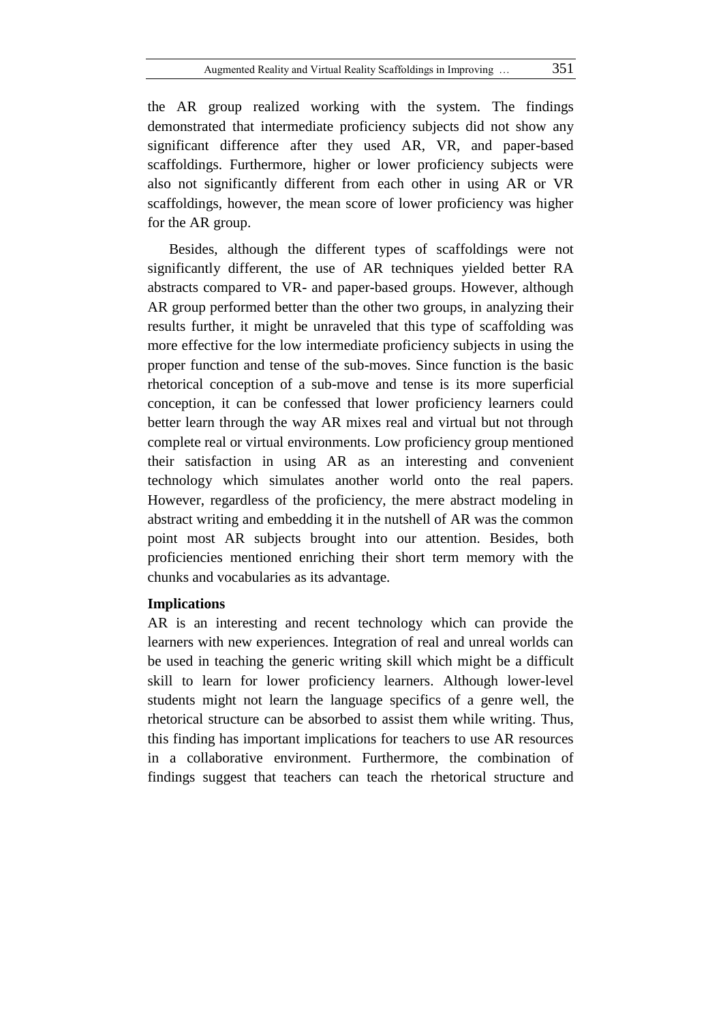the AR group realized working with the system. The findings demonstrated that intermediate proficiency subjects did not show any significant difference after they used AR, VR, and paper-based scaffoldings. Furthermore, higher or lower proficiency subjects were also not significantly different from each other in using AR or VR scaffoldings, however, the mean score of lower proficiency was higher for the AR group.

Besides, although the different types of scaffoldings were not significantly different, the use of AR techniques yielded better RA abstracts compared to VR- and paper-based groups. However, although AR group performed better than the other two groups, in analyzing their results further, it might be unraveled that this type of scaffolding was more effective for the low intermediate proficiency subjects in using the proper function and tense of the sub-moves. Since function is the basic rhetorical conception of a sub-move and tense is its more superficial conception, it can be confessed that lower proficiency learners could better learn through the way AR mixes real and virtual but not through complete real or virtual environments. Low proficiency group mentioned their satisfaction in using AR as an interesting and convenient technology which simulates another world onto the real papers. However, regardless of the proficiency, the mere abstract modeling in abstract writing and embedding it in the nutshell of AR was the common point most AR subjects brought into our attention. Besides, both proficiencies mentioned enriching their short term memory with the chunks and vocabularies as its advantage.

### **Implications**

AR is an interesting and recent technology which can provide the learners with new experiences. Integration of real and unreal worlds can be used in teaching the generic writing skill which might be a difficult skill to learn for lower proficiency learners. Although lower-level students might not learn the language specifics of a genre well, the rhetorical structure can be absorbed to assist them while writing. Thus, this finding has important implications for teachers to use AR resources in a collaborative environment. Furthermore, the combination of findings suggest that teachers can teach the rhetorical structure and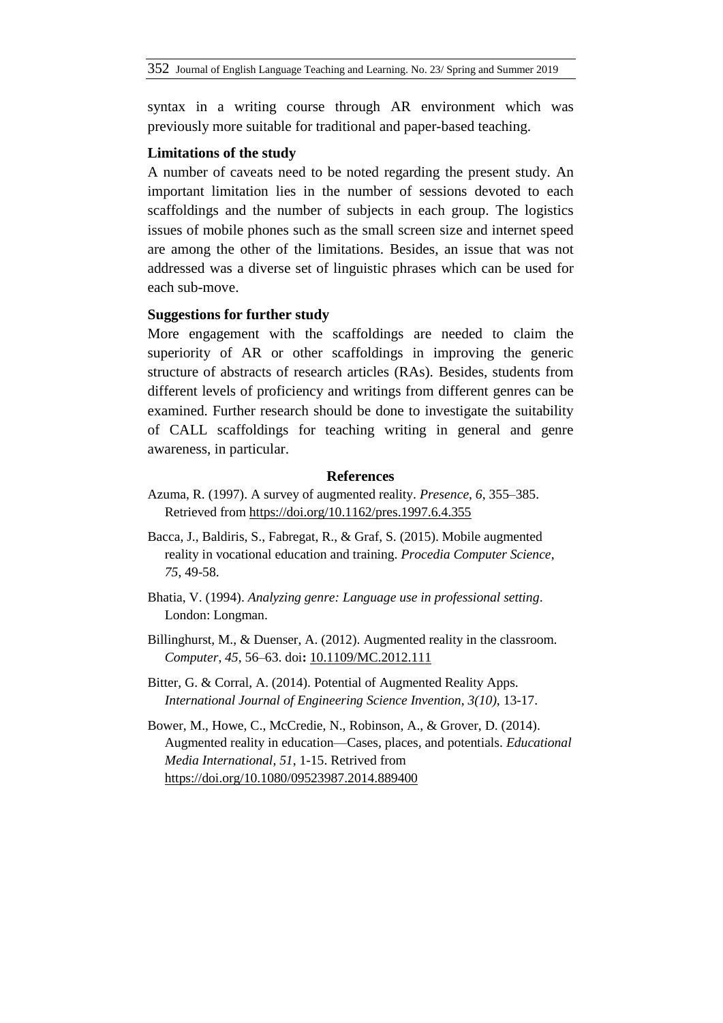syntax in a writing course through AR environment which was previously more suitable for traditional and paper-based teaching.

#### **Limitations of the study**

A number of caveats need to be noted regarding the present study. An important limitation lies in the number of sessions devoted to each scaffoldings and the number of subjects in each group. The logistics issues of mobile phones such as the small screen size and internet speed are among the other of the limitations. Besides, an issue that was not addressed was a diverse set of linguistic phrases which can be used for each sub-move.

### **Suggestions for further study**

More engagement with the scaffoldings are needed to claim the superiority of AR or other scaffoldings in improving the generic structure of abstracts of research articles (RAs). Besides, students from different levels of proficiency and writings from different genres can be examined. Further research should be done to investigate the suitability of CALL scaffoldings for teaching writing in general and genre awareness, in particular.

### **References**

- Azuma, R. (1997). A survey of augmented reality. *Presence*, *6*, 355–385. Retrieved from<https://doi.org/10.1162/pres.1997.6.4.355>
- Bacca, J., Baldiris, S., Fabregat, R., & Graf, S. (2015). Mobile augmented reality in vocational education and training. *Procedia Computer Science*, *75*, 49-58.
- Bhatia, V. (1994). *Analyzing genre: Language use in professional setting*. London: Longman.
- Billinghurst, M., & Duenser, A. (2012). Augmented reality in the classroom. *Computer*, *45*, 56–63. doi**:** [10.1109/MC.2012.111](https://doi.org/10.1109/MC.2012.111)
- Bitter, G. & Corral, A. (2014). Potential of Augmented Reality Apps. *International Journal of Engineering Science Invention*, *3(10)*, 13-17.
- Bower, M., Howe, C., McCredie, N., Robinson, A., & Grover, D. (2014). Augmented reality in education—Cases, places, and potentials. *Educational Media International*, *51*, 1-15. Retrived from <https://doi.org/10.1080/09523987.2014.889400>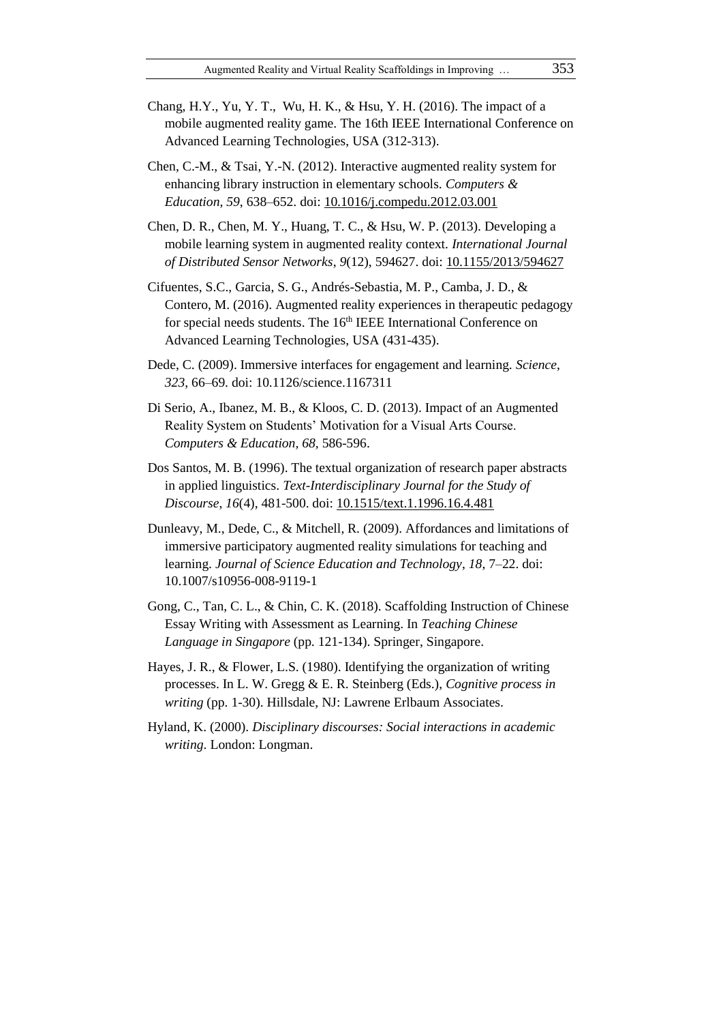- Chang, H.Y., Yu, Y. T., Wu, H. K., & Hsu, Y. H. (2016). The impact of a mobile augmented reality game. The 16th IEEE International Conference on Advanced Learning Technologies, USA (312-313).
- Chen, C.-M., & Tsai, Y.-N. (2012). Interactive augmented reality system for enhancing library instruction in elementary schools. *Computers & Education*, *59*, 638–652. doi: [10.1016/j.compedu.2012.03.001](https://doi.org/10.1016/j.compedu.2012.03.001)
- Chen, D. R., Chen, M. Y., Huang, T. C., & Hsu, W. P. (2013). Developing a mobile learning system in augmented reality context. *International Journal of Distributed Sensor Networks*, *9*(12), 594627. doi: [10.1155/2013/594627](https://doi.org/10.1155/2013/594627)
- Cifuentes, S.C., Garcia, S. G., Andrés-Sebastia, M. P., Camba, J. D., & Contero, M. (2016). Augmented reality experiences in therapeutic pedagogy for special needs students. The 16<sup>th</sup> IEEE International Conference on Advanced Learning Technologies, USA (431-435).
- Dede, C. (2009). Immersive interfaces for engagement and learning. *Science*, *323*, 66–69. doi: 10.1126/science.1167311
- Di Serio, A., Ibanez, M. B., & Kloos, C. D. (2013). Impact of an Augmented Reality System on Students' Motivation for a Visual Arts Course. *Computers & Education, 68,* 586-596.
- Dos Santos, M. B. (1996). The textual organization of research paper abstracts in applied linguistics. *Text-Interdisciplinary Journal for the Study of Discourse*, *16*(4), 481-500. doi: [10.1515/text.1.1996.16.4.481](https://doi.org/10.1515/text.1.1996.16.4.481)
- Dunleavy, M., Dede, C., & Mitchell, R. (2009). Affordances and limitations of immersive participatory augmented reality simulations for teaching and learning. *Journal of Science Education and Technology*, *18*, 7–22. doi: 10.1007/s10956-008-9119-1
- Gong, C., Tan, C. L., & Chin, C. K. (2018). Scaffolding Instruction of Chinese Essay Writing with Assessment as Learning. In *Teaching Chinese Language in Singapore* (pp. 121-134). Springer, Singapore.
- Hayes, J. R., & Flower, L.S. (1980). Identifying the organization of writing processes. In L. W. Gregg & E. R. Steinberg (Eds.), *Cognitive process in writing* (pp. 1-30). Hillsdale, NJ: Lawrene Erlbaum Associates.
- Hyland, K. (2000). *Disciplinary discourses: Social interactions in academic writing*. London: Longman.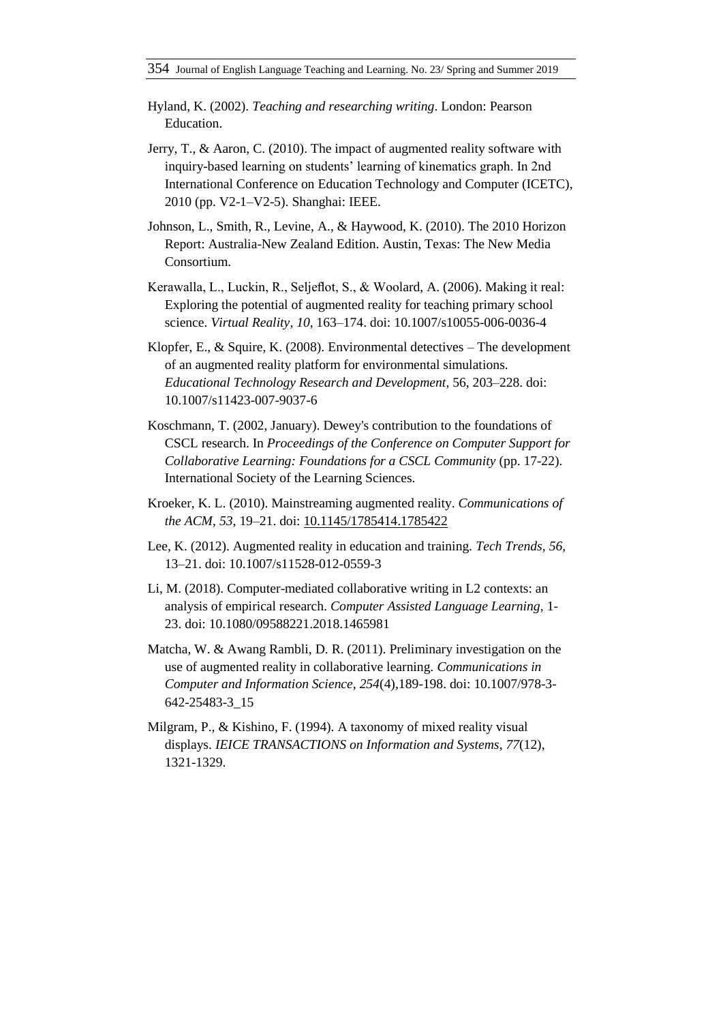- Hyland, K. (2002). *Teaching and researching writing*. London: Pearson Education.
- Jerry, T., & Aaron, C. (2010). The impact of augmented reality software with inquiry-based learning on students' learning of kinematics graph. In 2nd International Conference on Education Technology and Computer (ICETC), 2010 (pp. V2-1–V2-5). Shanghai: IEEE.
- Johnson, L., Smith, R., Levine, A., & Haywood, K. (2010). The 2010 Horizon Report: Australia-New Zealand Edition. Austin, Texas: The New Media Consortium.
- Kerawalla, L., Luckin, R., Seljeflot, S., & Woolard, A. (2006). Making it real: Exploring the potential of augmented reality for teaching primary school science. *Virtual Reality*, *10*, 163–174. doi: 10.1007/s10055-006-0036-4
- Klopfer, E., & Squire, K. (2008). Environmental detectives The development of an augmented reality platform for environmental simulations. *Educational Technology Research and Development*, 56, 203–228. doi: 10.1007/s11423-007-9037-6
- Koschmann, T. (2002, January). Dewey's contribution to the foundations of CSCL research. In *Proceedings of the Conference on Computer Support for Collaborative Learning: Foundations for a CSCL Community* (pp. 17-22). International Society of the Learning Sciences.
- Kroeker, K. L. (2010). Mainstreaming augmented reality. *Communications of the ACM*, *53*, 19–21. doi: [10.1145/1785414.1785422](https://doi.org/10.1145/1785414.1785422)
- Lee, K. (2012). Augmented reality in education and training. *Tech Trends*, *56*, 13–21. doi: 10.1007/s11528-012-0559-3
- Li, M. (2018). Computer-mediated collaborative writing in L2 contexts: an analysis of empirical research. *Computer Assisted Language Learning*, 1- 23. doi: 10.1080/09588221.2018.1465981
- Matcha, W. & Awang Rambli, D. R. (2011). Preliminary investigation on the use of augmented reality in collaborative learning. *Communications in Computer and Information Science, 254*(4),189-198. doi: 10.1007/978-3- 642-25483-3\_15
- Milgram, P., & Kishino, F. (1994). A taxonomy of mixed reality visual displays. *IEICE TRANSACTIONS on Information and Systems*, *77*(12), 1321-1329.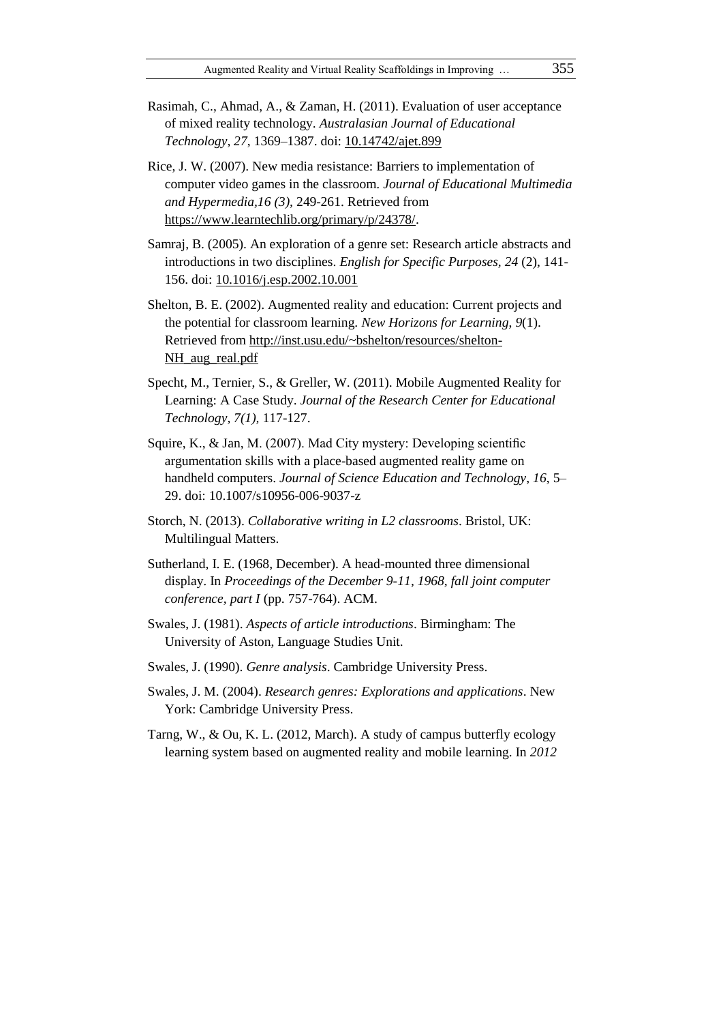- Rasimah, C., Ahmad, A., & Zaman, H. (2011). Evaluation of user acceptance of mixed reality technology. *Australasian Journal of Educational Technology*, *27*, 1369–1387. doi: [10.14742/ajet.899](https://doi.org/10.14742/ajet.899)
- Rice, J. W. (2007). New media resistance: Barriers to implementation of computer video games in the classroom. *Journal of Educational Multimedia and Hypermedia,16 (3),* 249-261. Retrieved from [https://www.learntechlib.org/primary/p/24378/.](https://www.learntechlib.org/primary/p/24378/)
- Samraj, B. (2005). An exploration of a genre set: Research article abstracts and introductions in two disciplines. *English for Specific Purposes, 24* (2), 141- 156. doi: [10.1016/j.esp.2002.10.001](https://doi.org/10.1016/j.esp.2002.10.001)
- Shelton, B. E. (2002). Augmented reality and education: Current projects and the potential for classroom learning. *New Horizons for Learning*, *9*(1). Retrieved from [http://inst.usu.edu/~bshelton/resources/shelton-](http://inst.usu.edu/~bshelton/resources/shelton-NH_aug_real.pdf)[NH\\_aug\\_real.pdf](http://inst.usu.edu/~bshelton/resources/shelton-NH_aug_real.pdf)
- Specht, M., Ternier, S., & Greller, W. (2011). Mobile Augmented Reality for Learning: A Case Study. *Journal of the Research Center for Educational Technology, 7(1),* 117-127.
- Squire, K., & Jan, M. (2007). Mad City mystery: Developing scientific argumentation skills with a place-based augmented reality game on handheld computers. *Journal of Science Education and Technology*, *16*, 5– 29. doi: 10.1007/s10956-006-9037-z
- Storch, N. (2013). *Collaborative writing in L2 classrooms*. Bristol, UK: Multilingual Matters.
- Sutherland, I. E. (1968, December). A head-mounted three dimensional display. In *Proceedings of the December 9-11, 1968, fall joint computer conference, part I* (pp. 757-764). ACM.
- Swales, J. (1981). *Aspects of article introductions*. Birmingham: The University of Aston, Language Studies Unit.
- Swales, J. (1990). *Genre analysis*. Cambridge University Press.
- Swales, J. M. (2004). *Research genres: Explorations and applications*. New York: Cambridge University Press.
- Tarng, W., & Ou, K. L. (2012, March). A study of campus butterfly ecology learning system based on augmented reality and mobile learning. In *2012*